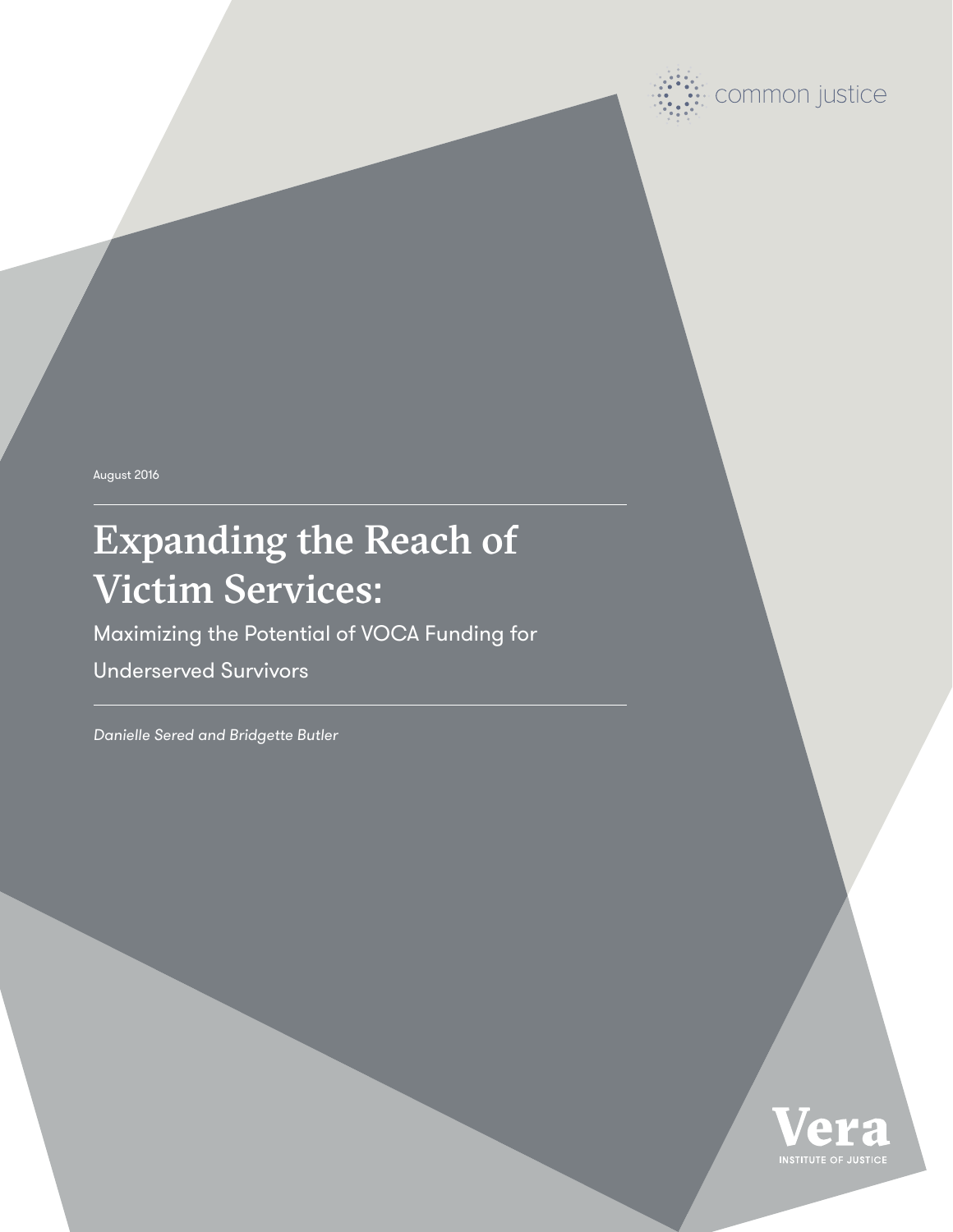August 2016

# Expanding the Reach of Victim Services:

Maximizing the Potential of VOCA Funding for

Underserved Survivors

*Danielle Sered and Bridgette Butler*



common justice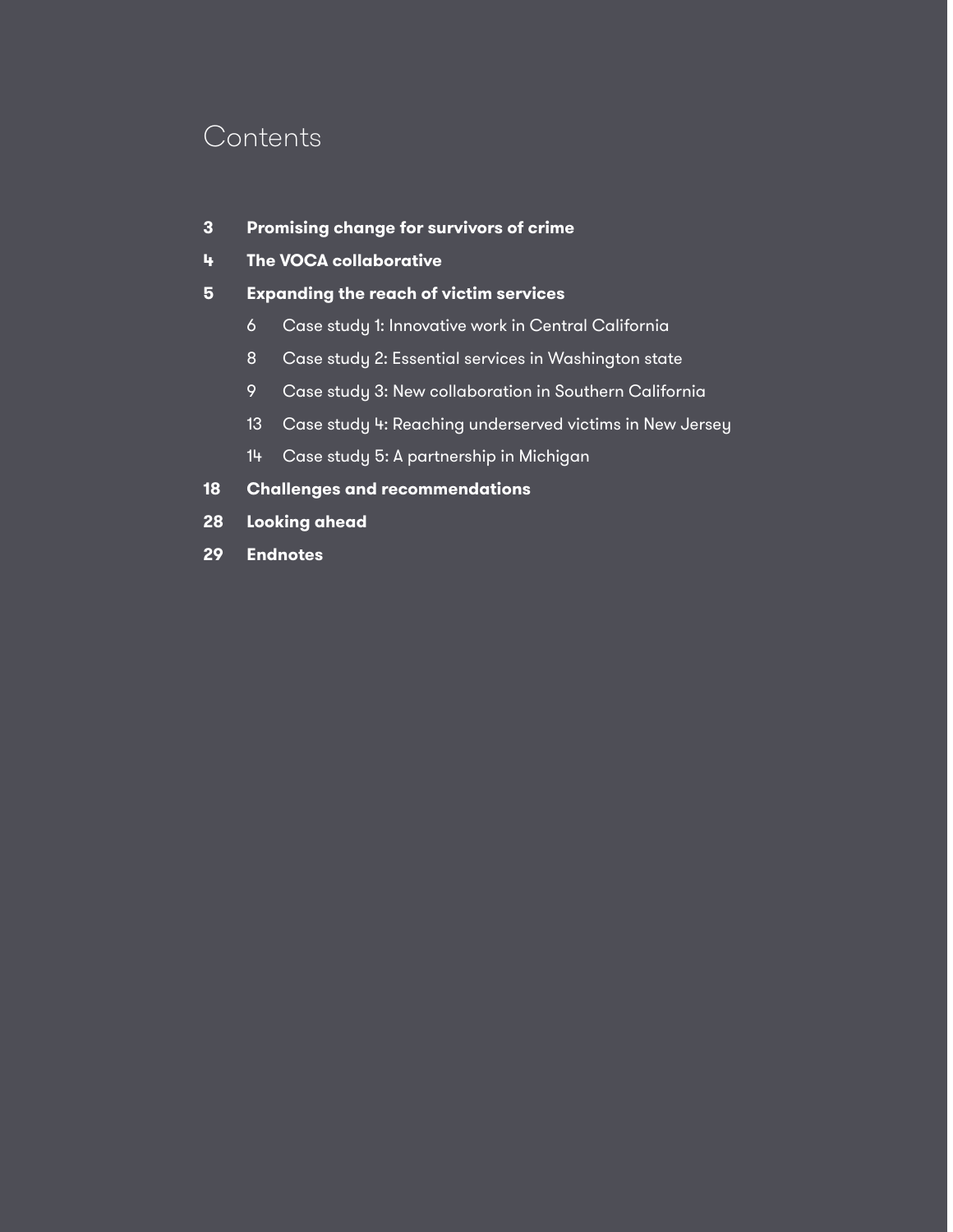### **Contents**

- **3 Promising change for survivors of crime**
- **4 The VOCA collaborative**
- **5 Expanding the reach of victim services**
	- 6 Case study 1: Innovative work in Central California
	- 8 Case study 2: Essential services in Washington state
	- 9 Case study 3: New collaboration in Southern California
	- 13 Case study 4: Reaching underserved victims in New Jersey
	- 14 Case study 5: A partnership in Michigan
- **18 Challenges and recommendations**
- **28 Looking ahead**
- **29 Endnotes**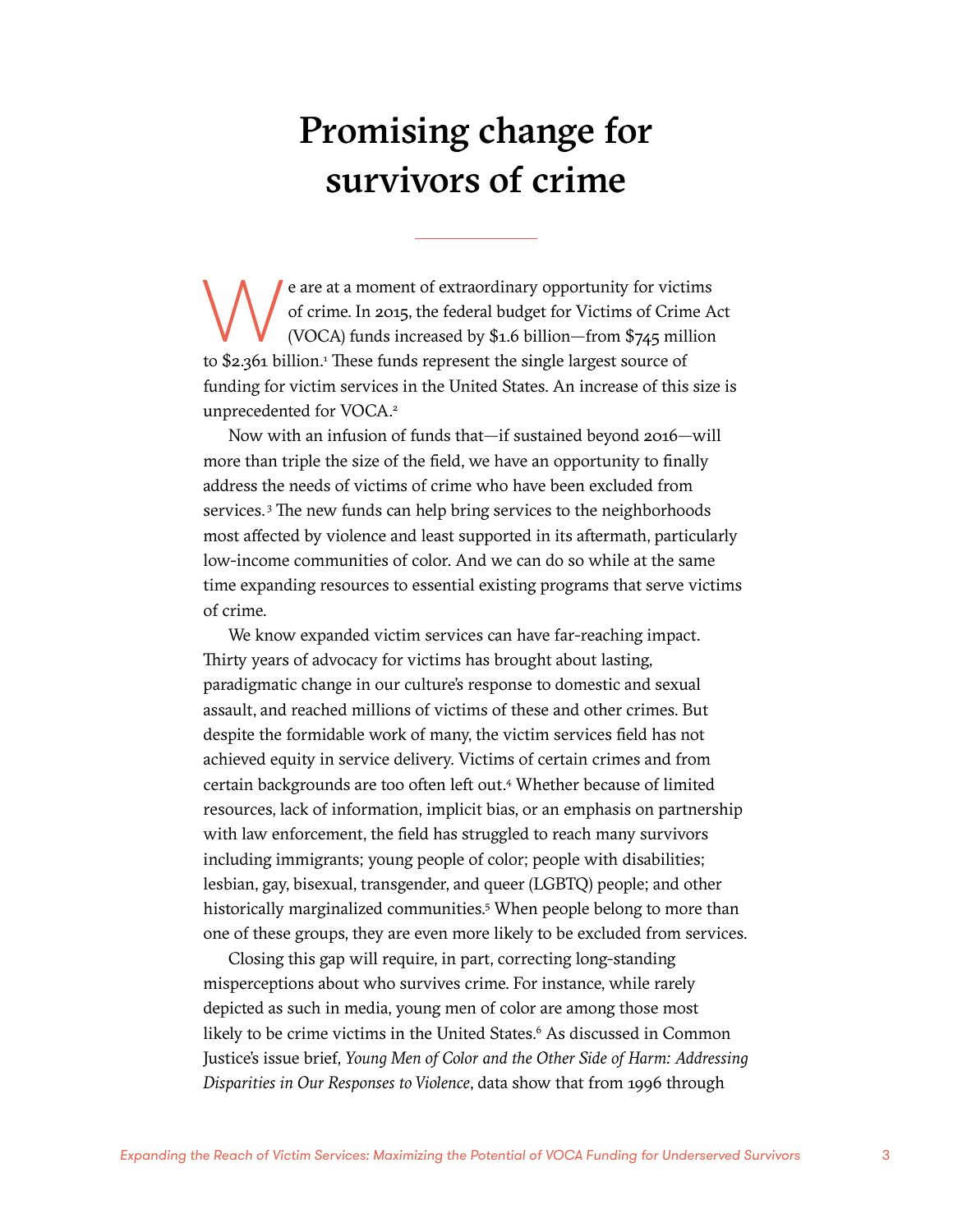# Promising change for survivors of crime

e are at a moment of extraordinary opportunity for victims<br>of crime. In 2015, the federal budget for Victims of Crime A<br>(VOCA) funds increased by \$1.6 billion—from \$745 million<br>to \$2.261 billion<sup>1</sup> These funds represent th of crime. In 2015, the federal budget for Victims of Crime Act (VOCA) funds increased by \$1.6 billion—from \$745 million to \$2.361 billion.<sup>1</sup> These funds represent the single largest source of funding for victim services in the United States. An increase of this size is unprecedented for VOCA.<sup>2</sup>

Now with an infusion of funds that—if sustained beyond 2016—will more than triple the size of the field, we have an opportunity to finally address the needs of victims of crime who have been excluded from services. 3 The new funds can help bring services to the neighborhoods most affected by violence and least supported in its aftermath, particularly low-income communities of color. And we can do so while at the same time expanding resources to essential existing programs that serve victims of crime.

We know expanded victim services can have far-reaching impact. Thirty years of advocacy for victims has brought about lasting, paradigmatic change in our culture's response to domestic and sexual assault, and reached millions of victims of these and other crimes. But despite the [formidable work](http://sisterslead.org/) [of many,](http://www.wocninc.org/) the victim services field has not achieved equity in service delivery. Victims of certain crimes and from certain backgrounds are too often left out.4 Whether because of limited resources, lack of information, implicit bias, or an emphasis on partnership with law enforcement, the field has struggled to reach many survivors including immigrants; young people of color; people with disabilities; lesbian, gay, bisexual, transgender, and queer (LGBTQ) people; and other historically marginalized communities.<sup>5</sup> When people belong to more than one of these groups, they are even more likely to be excluded from services.

Closing this gap will require, in part, correcting long-standing misperceptions about who survives crime. For instance, while rarely depicted as such in media, young men of color are among those most likely to be crime victims in the United States.<sup>6</sup> As discussed in Common Justice's issue brief, *[Young Men of Color and the Other Side of Harm: Addressing](http://www.vera.org/sites/default/files/resources/downloads/men-of-color-as-victims-of-violence-v2.pdf)  [Disparities in Our Responses to Violence](http://www.vera.org/sites/default/files/resources/downloads/men-of-color-as-victims-of-violence-v2.pdf)*, data show that from 1996 through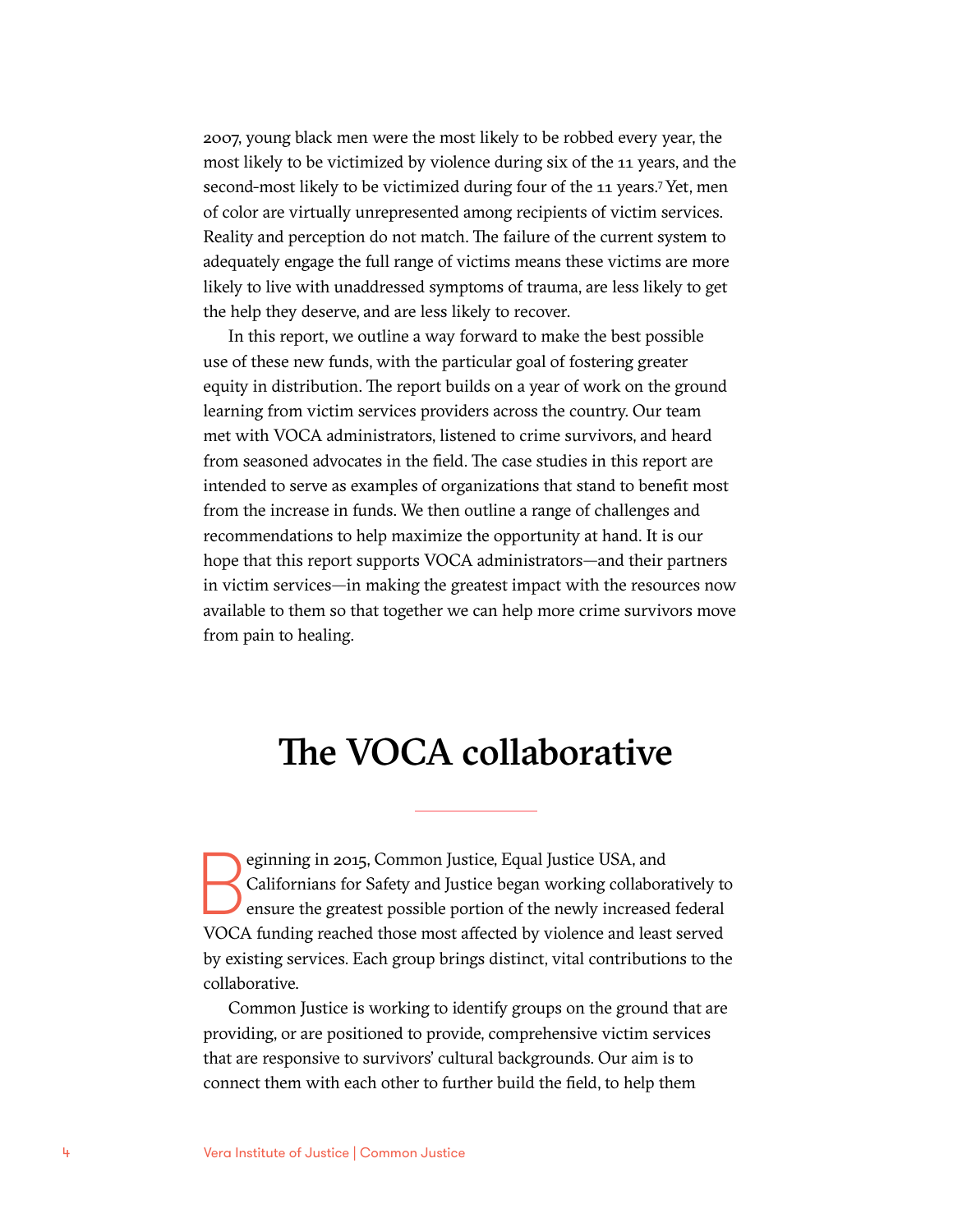2007, young black men were the most likely to be robbed every year, the most likely to be victimized by violence during six of the 11 years, and the second-most likely to be victimized during four of the 11 years.<sup>7</sup> Yet, men of color are virtually unrepresented among recipients of victim services. Reality and perception do not match. The failure of the current system to adequately engage the full range of victims means these victims are more likely to live with unaddressed symptoms of trauma, are less likely to get the help they deserve, and are less likely to recover.

In this report, we outline a way forward to make the best possible use of these new funds, with the particular goal of fostering greater equity in distribution. The report builds on a year of work on the ground learning from victim services providers across the country. Our team met with VOCA administrators, listened to crime survivors, and heard from seasoned advocates in the field. The case studies in this report are intended to serve as examples of organizations that stand to benefit most from the increase in funds. We then outline a range of challenges and recommendations to help maximize the opportunity at hand. It is our hope that this report supports VOCA administrators—and their partners in victim services—in making the greatest impact with the resources now available to them so that together we can help more crime survivors move from pain to healing.

## The VOCA collaborative

eginning in 2015, Common Justice, Equal Justice USA, and<br>Californians for Safety and Justice began working collabora<br>ensure the greatest possible portion of the newly increased<br>VOCA funding reached those most affected by v Californians for Safety and Justice began working collaboratively to ensure the greatest possible portion of the newly increased federal VOCA funding reached those most affected by violence and least served by existing services. Each group brings distinct, vital contributions to the collaborative.

Common Justice is working to identify groups on the ground that are providing, or are positioned to provide, comprehensive victim services that are responsive to survivors' cultural backgrounds. Our aim is to connect them with each other to further build the field, to help them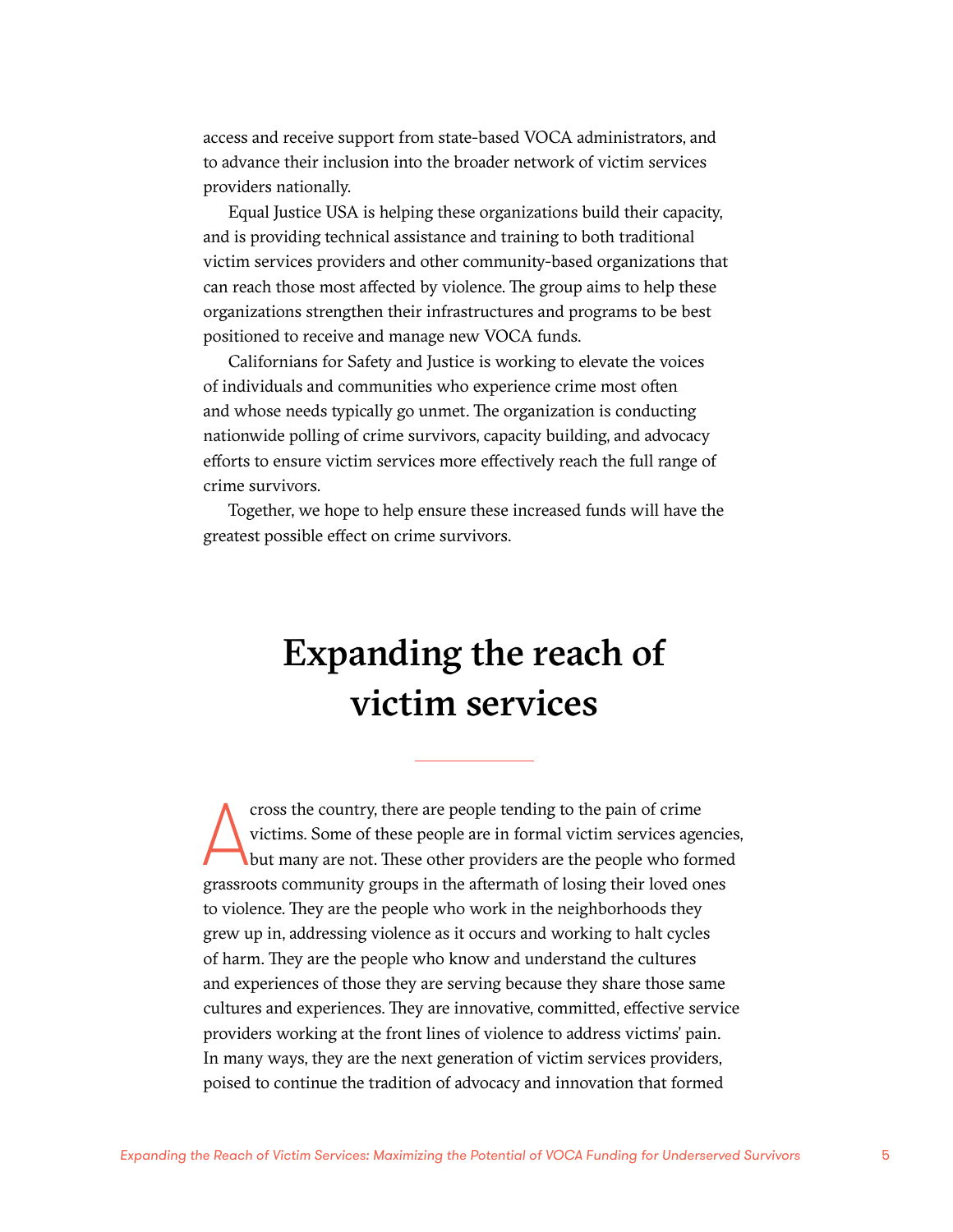access and receive support from state-based VOCA administrators, and to advance their inclusion into the broader network of victim services providers nationally.

Equal Justice USA is helping these organizations build their capacity, and is providing technical assistance and training to both traditional victim services providers and other community-based organizations that can reach those most affected by violence. The group aims to help these organizations strengthen their infrastructures and programs to be best positioned to receive and manage new VOCA funds.

Californians for Safety and Justice is working to elevate the voices of individuals and communities who experience crime most often and whose needs typically go unmet. The organization is conducting nationwide polling of crime survivors, capacity building, and advocacy efforts to ensure victim services more effectively reach the full range of crime survivors.

Together, we hope to help ensure these increased funds will have the greatest possible effect on crime survivors.

## Expanding the reach of victim services

cross the country, there are people tending to the pain of crime<br>victims. Some of these people are in formal victim services agencie<br>but many are not. These other providers are the people who formed<br>grassroots community gr cross the country, there are people tending to the pain of crime victims. Some of these people are in formal victim services agencies, but many are not. These other providers are the people who formed to violence. They are the people who work in the neighborhoods they grew up in, addressing violence as it occurs and working to halt cycles of harm. They are the people who know and understand the cultures and experiences of those they are serving because they share those same cultures and experiences. They are innovative, committed, effective service providers working at the front lines of violence to address victims' pain. In many ways, they are the next generation of victim services providers, poised to continue the tradition of advocacy and innovation that formed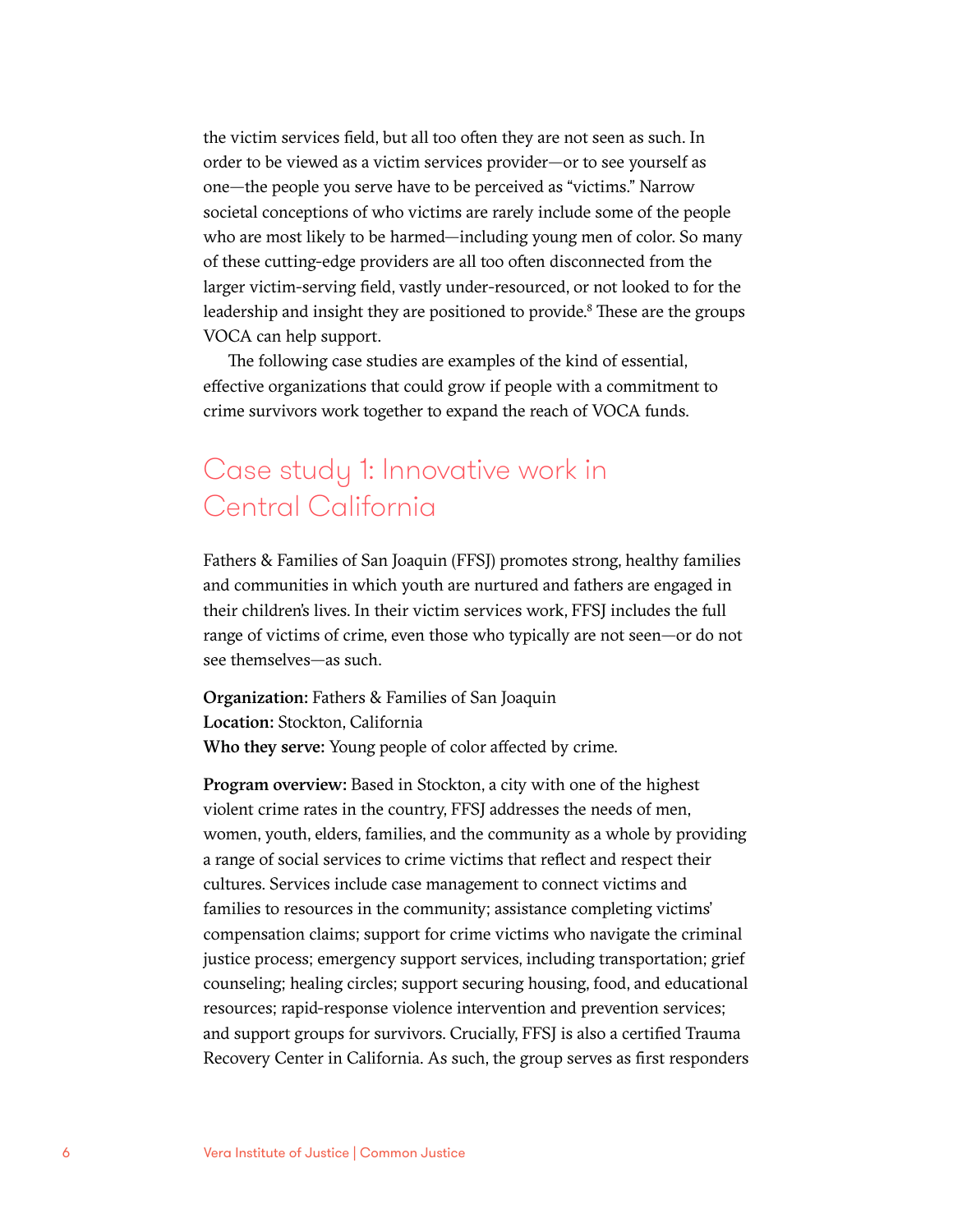the victim services field, but all too often they are not seen as such. In order to be viewed as a victim services provider—or to see yourself as one—the people you serve have to be perceived as "victims." Narrow societal conceptions of who victims are rarely include some of the people who are most likely to be harmed—including young men of color. So many of these cutting-edge providers are all too often disconnected from the larger victim-serving field, vastly under-resourced, or not looked to for the leadership and insight they are positioned to provide.<sup>8</sup> These are the groups VOCA can help support.

The following case studies are examples of the kind of essential, effective organizations that could grow if people with a commitment to crime survivors work together to expand the reach of VOCA funds.

### Case study 1: Innovative work in Central California

Fathers & Families of San Joaquin (FFSJ) promotes strong, healthy families and communities in which youth are nurtured and fathers are engaged in their children's lives. In their victim services work, FFSJ includes the full range of victims of crime, even those who typically are not seen—or do not see themselves—as such.

Organization: Fathers & Families of San Joaquin Location: Stockton, California Who they serve: Young people of color affected by crime.

Program overview: Based in Stockton, a city with one of the highest violent crime rates in the country, FFSJ addresses the needs of men, women, youth, elders, families, and the community as a whole by providing a range of social services to crime victims that reflect and respect their cultures. Services include case management to connect victims and families to resources in the community; assistance completing victims' compensation claims; support for crime victims who navigate the criminal justice process; emergency support services, including transportation; grief counseling; healing circles; support securing housing, food, and educational resources; rapid-response violence intervention and prevention services; and support groups for survivors. Crucially, FFSJ is also a certified Trauma Recovery Center in California. As such, the group serves as first responders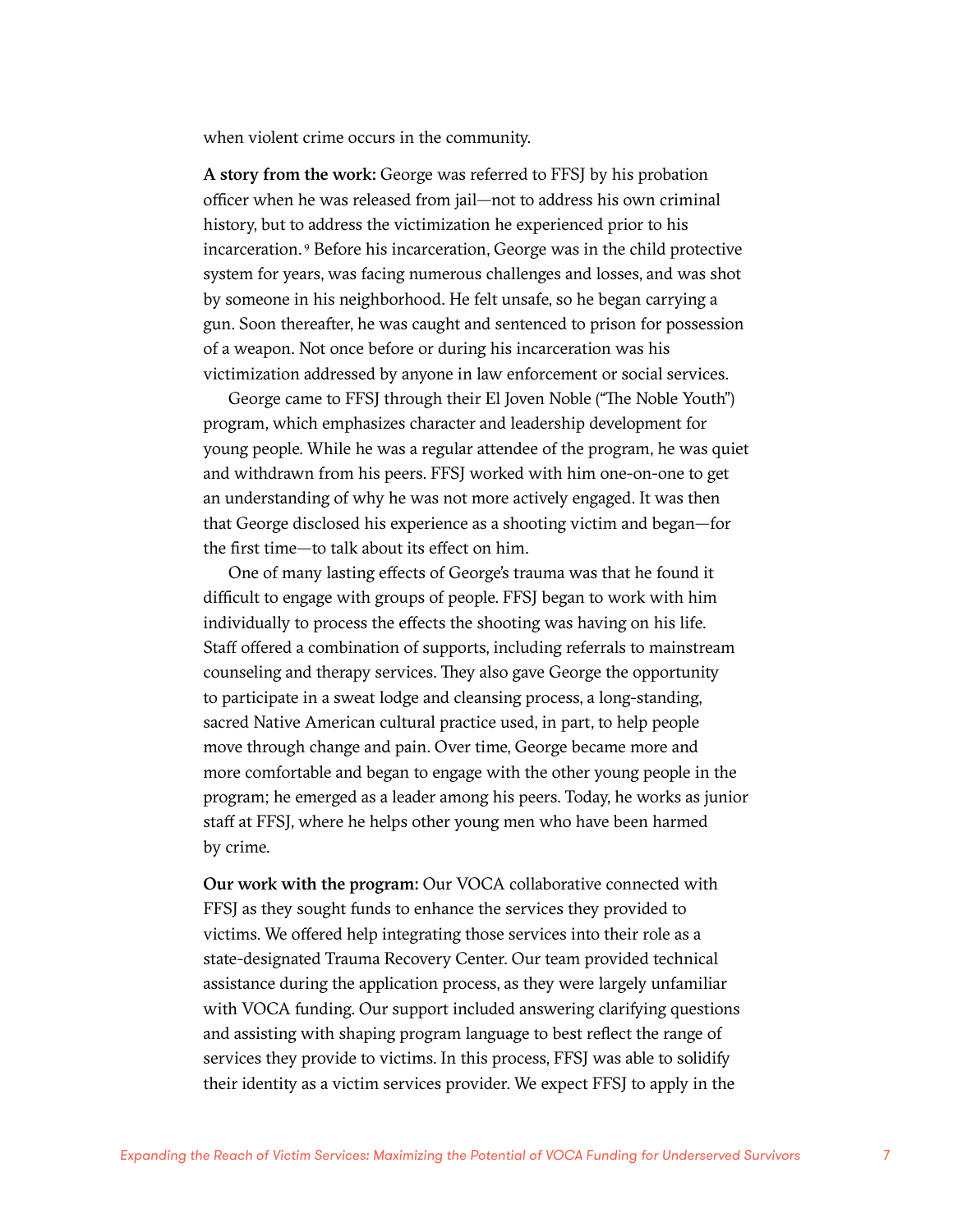when violent crime occurs in the community.

A story from the work: George was referred to FFSJ by his probation officer when he was released from jail—not to address his own criminal history, but to address the victimization he experienced prior to his incarceration. 9 Before his incarceration, George was in the child protective system for years, was facing numerous challenges and losses, and was shot by someone in his neighborhood. He felt unsafe, so he began carrying a gun. Soon thereafter, he was caught and sentenced to prison for possession of a weapon. Not once before or during his incarceration was his victimization addressed by anyone in law enforcement or social services.

George came to FFSJ through their El Joven Noble ("The Noble Youth") program, which emphasizes character and leadership development for young people. While he was a regular attendee of the program, he was quiet and withdrawn from his peers. FFSJ worked with him one-on-one to get an understanding of why he was not more actively engaged. It was then that George disclosed his experience as a shooting victim and began—for the first time—to talk about its effect on him.

One of many lasting effects of George's trauma was that he found it difficult to engage with groups of people. FFSJ began to work with him individually to process the effects the shooting was having on his life. Staff offered a combination of supports, including referrals to mainstream counseling and therapy services. They also gave George the opportunity to participate in a sweat lodge and cleansing process, a long-standing, sacred Native American cultural practice used, in part, to help people move through change and pain. Over time, George became more and more comfortable and began to engage with the other young people in the program; he emerged as a leader among his peers. Today, he works as junior staff at FFSJ, where he helps other young men who have been harmed by crime.

Our work with the program: Our VOCA collaborative connected with FFSJ as they sought funds to enhance the services they provided to victims. We offered help integrating those services into their role as a state-designated Trauma Recovery Center. Our team provided technical assistance during the application process, as they were largely unfamiliar with VOCA funding. Our support included answering clarifying questions and assisting with shaping program language to best reflect the range of services they provide to victims. In this process, FFSJ was able to solidify their identity as a victim services provider. We expect FFSJ to apply in the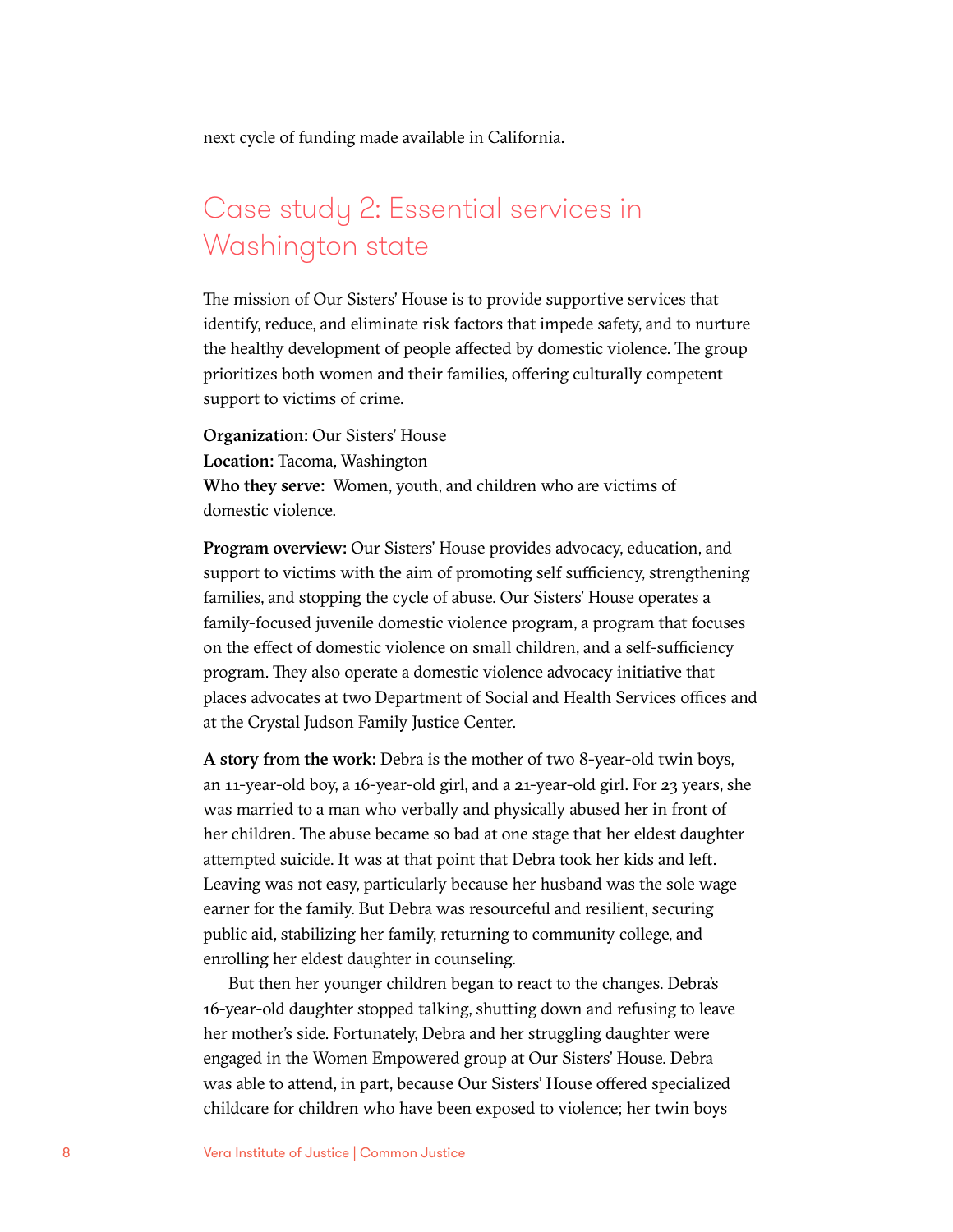next cycle of funding made available in California.

### Case study 2: Essential services in Washington state

The mission of Our Sisters' House is to provide supportive services that identify, reduce, and eliminate risk factors that impede safety, and to nurture the healthy development of people affected by domestic violence. The group prioritizes both women and their families, offering culturally competent support to victims of crime.

Organization: Our Sisters' House Location: Tacoma, Washington Who they serve: Women, youth, and children who are victims of domestic violence.

Program overview: Our Sisters' House provides advocacy, education, and support to victims with the aim of promoting self sufficiency, strengthening families, and stopping the cycle of abuse. Our Sisters' House operates a family-focused juvenile domestic violence program, a program that focuses on the effect of domestic violence on small children, and a self-sufficiency program. They also operate a domestic violence advocacy initiative that places advocates at two Department of Social and Health Services offices and at the Crystal Judson Family Justice Center.

A story from the work: Debra is the mother of two 8-year-old twin boys, an 11-year-old boy, a 16-year-old girl, and a 21-year-old girl. For 23 years, she was married to a man who verbally and physically abused her in front of her children. The abuse became so bad at one stage that her eldest daughter attempted suicide. It was at that point that Debra took her kids and left. Leaving was not easy, particularly because her husband was the sole wage earner for the family. But Debra was resourceful and resilient, securing public aid, stabilizing her family, returning to community college, and enrolling her eldest daughter in counseling.

But then her younger children began to react to the changes. Debra's 16-year-old daughter stopped talking, shutting down and refusing to leave her mother's side. Fortunately, Debra and her struggling daughter were engaged in the Women Empowered group at Our Sisters' House. Debra was able to attend, in part, because Our Sisters' House offered specialized childcare for children who have been exposed to violence; her twin boys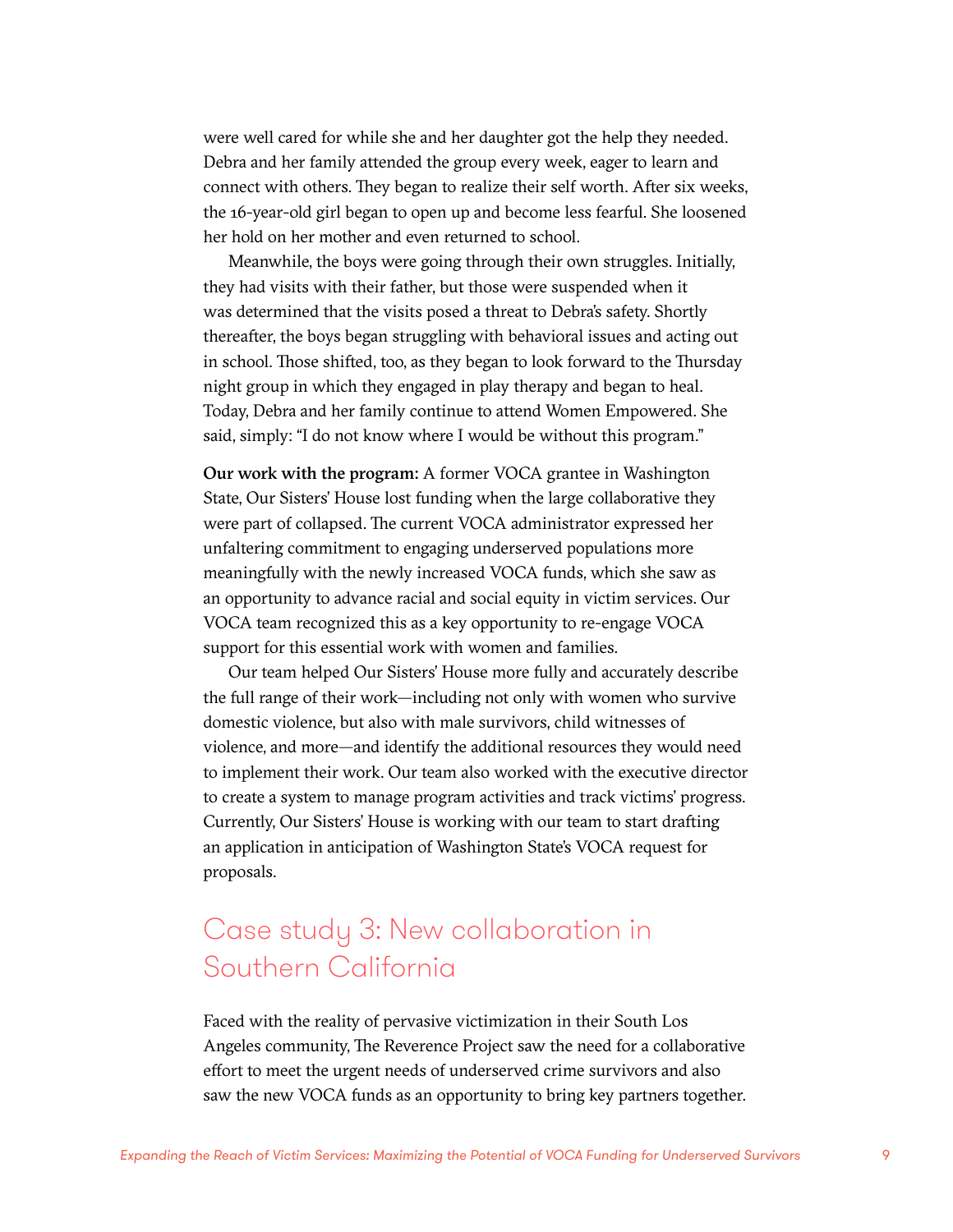were well cared for while she and her daughter got the help they needed. Debra and her family attended the group every week, eager to learn and connect with others. They began to realize their self worth. After six weeks, the 16-year-old girl began to open up and become less fearful. She loosened her hold on her mother and even returned to school.

Meanwhile, the boys were going through their own struggles. Initially, they had visits with their father, but those were suspended when it was determined that the visits posed a threat to Debra's safety. Shortly thereafter, the boys began struggling with behavioral issues and acting out in school. Those shifted, too, as they began to look forward to the Thursday night group in which they engaged in play therapy and began to heal. Today, Debra and her family continue to attend Women Empowered. She said, simply: "I do not know where I would be without this program."

Our work with the program: A former VOCA grantee in Washington State, Our Sisters' House lost funding when the large collaborative they were part of collapsed. The current VOCA administrator expressed her unfaltering commitment to engaging underserved populations more meaningfully with the newly increased VOCA funds, which she saw as an opportunity to advance racial and social equity in victim services. Our VOCA team recognized this as a key opportunity to re-engage VOCA support for this essential work with women and families.

Our team helped Our Sisters' House more fully and accurately describe the full range of their work—including not only with women who survive domestic violence, but also with male survivors, child witnesses of violence, and more—and identify the additional resources they would need to implement their work. Our team also worked with the executive director to create a system to manage program activities and track victims' progress. Currently, Our Sisters' House is working with our team to start drafting an application in anticipation of Washington State's VOCA request for proposals.

### Case study 3: New collaboration in Southern California

Faced with the reality of pervasive victimization in their South Los Angeles community, The Reverence Project saw the need for a collaborative effort to meet the urgent needs of underserved crime survivors and also saw the new VOCA funds as an opportunity to bring key partners together.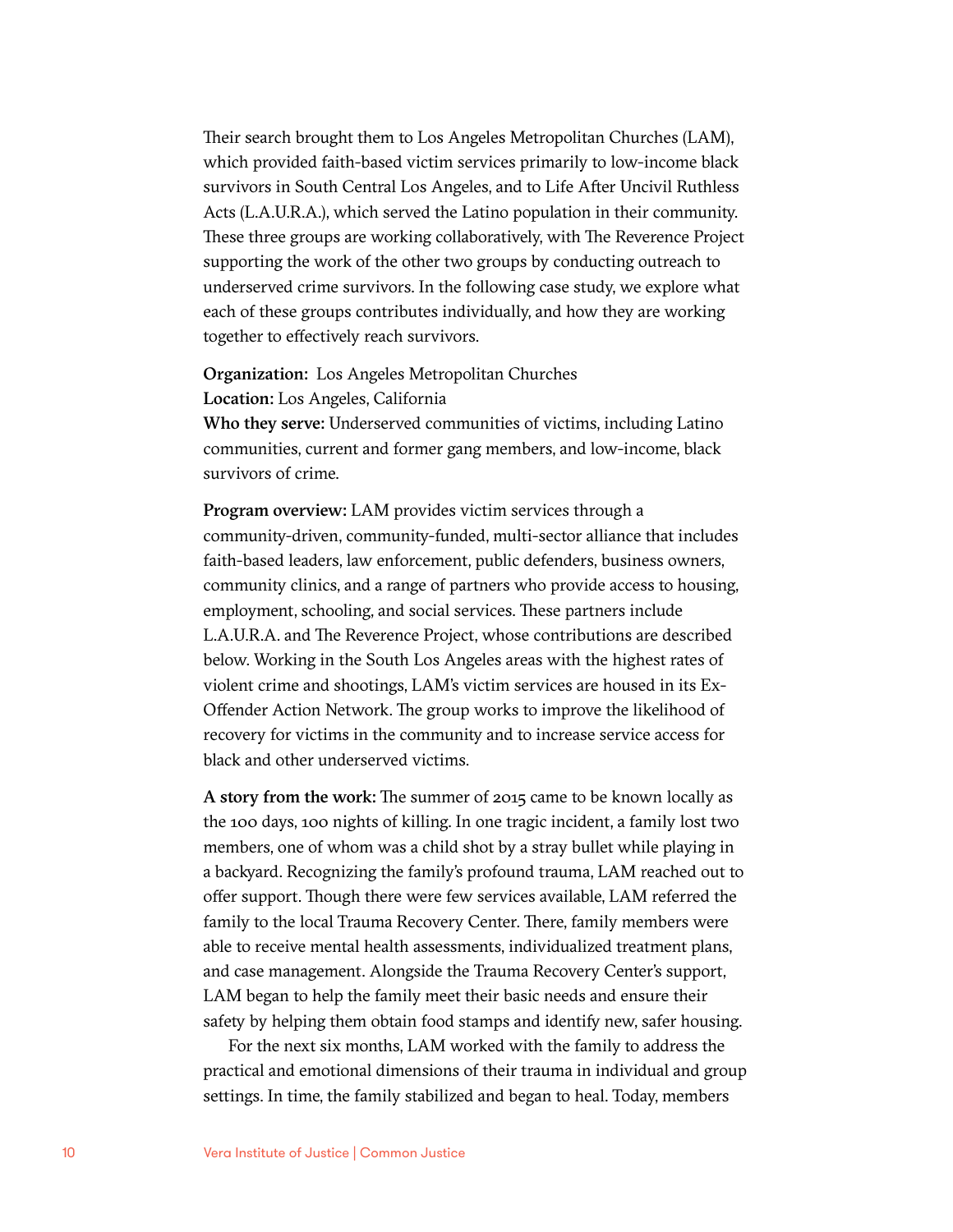Their search brought them to Los Angeles Metropolitan Churches (LAM), which provided faith-based victim services primarily to low-income black survivors in South Central Los Angeles, and to Life After Uncivil Ruthless Acts (L.A.U.R.A.), which served the Latino population in their community. These three groups are working collaboratively, with The Reverence Project supporting the work of the other two groups by conducting outreach to underserved crime survivors. In the following case study, we explore what each of these groups contributes individually, and how they are working together to effectively reach survivors.

#### Organization: Los Angeles Metropolitan Churches Location: Los Angeles, California

Who they serve: Underserved communities of victims, including Latino communities, current and former gang members, and low-income, black survivors of crime.

Program overview: LAM provides victim services through a community-driven, community-funded, multi-sector alliance that includes faith-based leaders, law enforcement, public defenders, business owners, community clinics, and a range of partners who provide access to housing, employment, schooling, and social services. These partners include L.A.U.R.A. and The Reverence Project, whose contributions are described below. Working in the South Los Angeles areas with the highest rates of violent crime and shootings, LAM's victim services are housed in its Ex-Offender Action Network. The group works to improve the likelihood of recovery for victims in the community and to increase service access for black and other underserved victims.

A story from the work: The summer of 2015 came to be known locally as the 100 days, 100 nights of killing. In one tragic incident, a family lost two members, one of whom was a child shot by a stray bullet while playing in a backyard. Recognizing the family's profound trauma, LAM reached out to offer support. Though there were few services available, LAM referred the family to the local Trauma Recovery Center. There, family members were able to receive mental health assessments, individualized treatment plans, and case management. Alongside the Trauma Recovery Center's support, LAM began to help the family meet their basic needs and ensure their safety by helping them obtain food stamps and identify new, safer housing.

For the next six months, LAM worked with the family to address the practical and emotional dimensions of their trauma in individual and group settings. In time, the family stabilized and began to heal. Today, members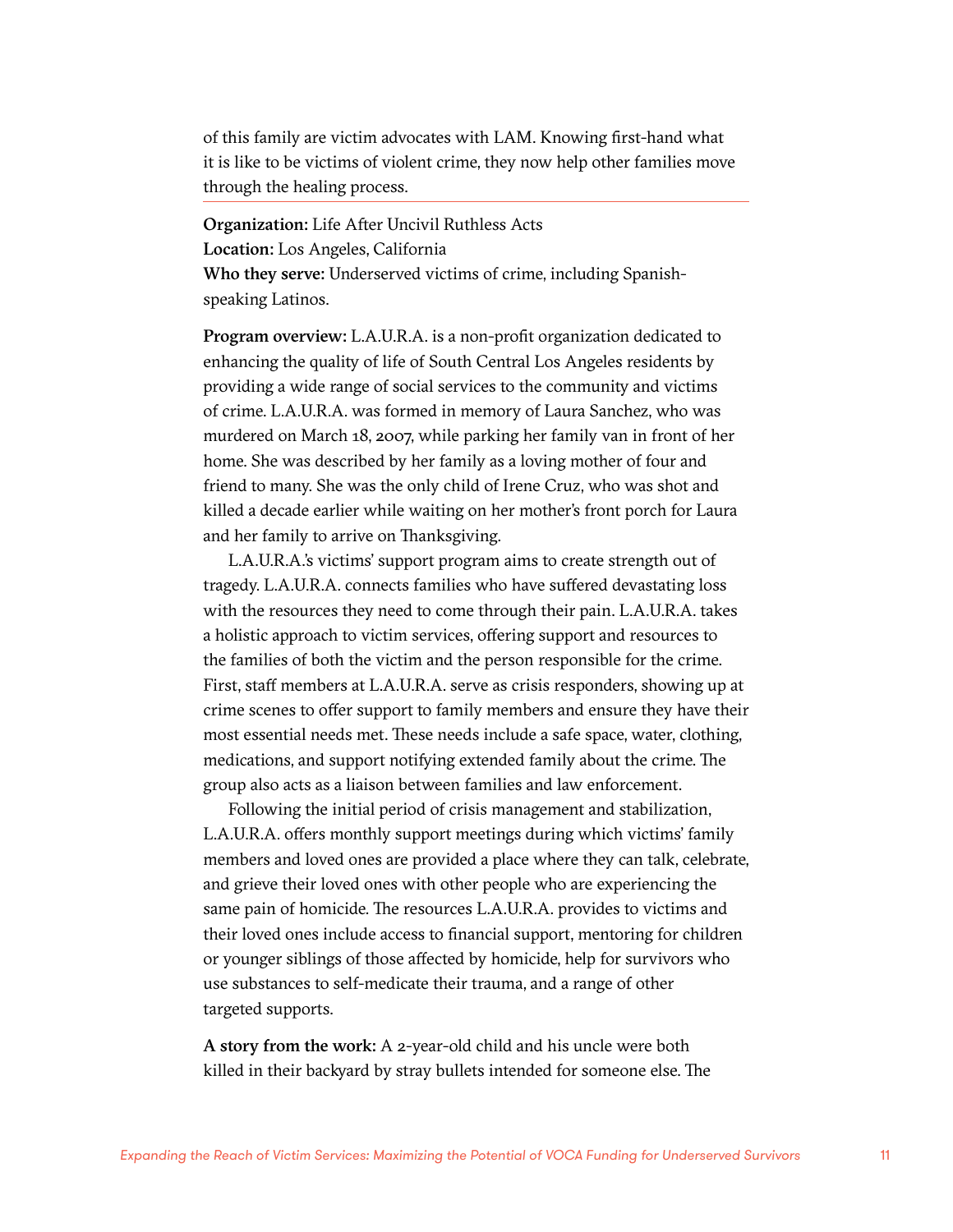of this family are victim advocates with LAM. Knowing first-hand what it is like to be victims of violent crime, they now help other families move through the healing process.

Organization: Life After Uncivil Ruthless Acts Location: Los Angeles, California Who they serve: Underserved victims of crime, including Spanishspeaking Latinos.

Program overview: L.A.U.R.A. is a non-profit organization dedicated to enhancing the quality of life of South Central Los Angeles residents by providing a wide range of social services to the community and victims of crime. L.A.U.R.A. was formed in memory of Laura Sanchez, who was murdered on March 18, 2007, while parking her family van in front of her home. She was described by her family as a loving mother of four and friend to many. She was the only child of Irene Cruz, who was shot and killed a decade earlier while waiting on her mother's front porch for Laura and her family to arrive on Thanksgiving.

L.A.U.R.A.'s victims' support program aims to create strength out of tragedy. L.A.U.R.A. connects families who have suffered devastating loss with the resources they need to come through their pain. L.A.U.R.A. takes a holistic approach to victim services, offering support and resources to the families of both the victim and the person responsible for the crime. First, staff members at L.A.U.R.A. serve as crisis responders, showing up at crime scenes to offer support to family members and ensure they have their most essential needs met. These needs include a safe space, water, clothing, medications, and support notifying extended family about the crime. The group also acts as a liaison between families and law enforcement.

Following the initial period of crisis management and stabilization, L.A.U.R.A. offers monthly support meetings during which victims' family members and loved ones are provided a place where they can talk, celebrate, and grieve their loved ones with other people who are experiencing the same pain of homicide. The resources L.A.U.R.A. provides to victims and their loved ones include access to financial support, mentoring for children or younger siblings of those affected by homicide, help for survivors who use substances to self-medicate their trauma, and a range of other targeted supports.

A story from the work: A 2-year-old child and his uncle were both killed in their backyard by stray bullets intended for someone else. The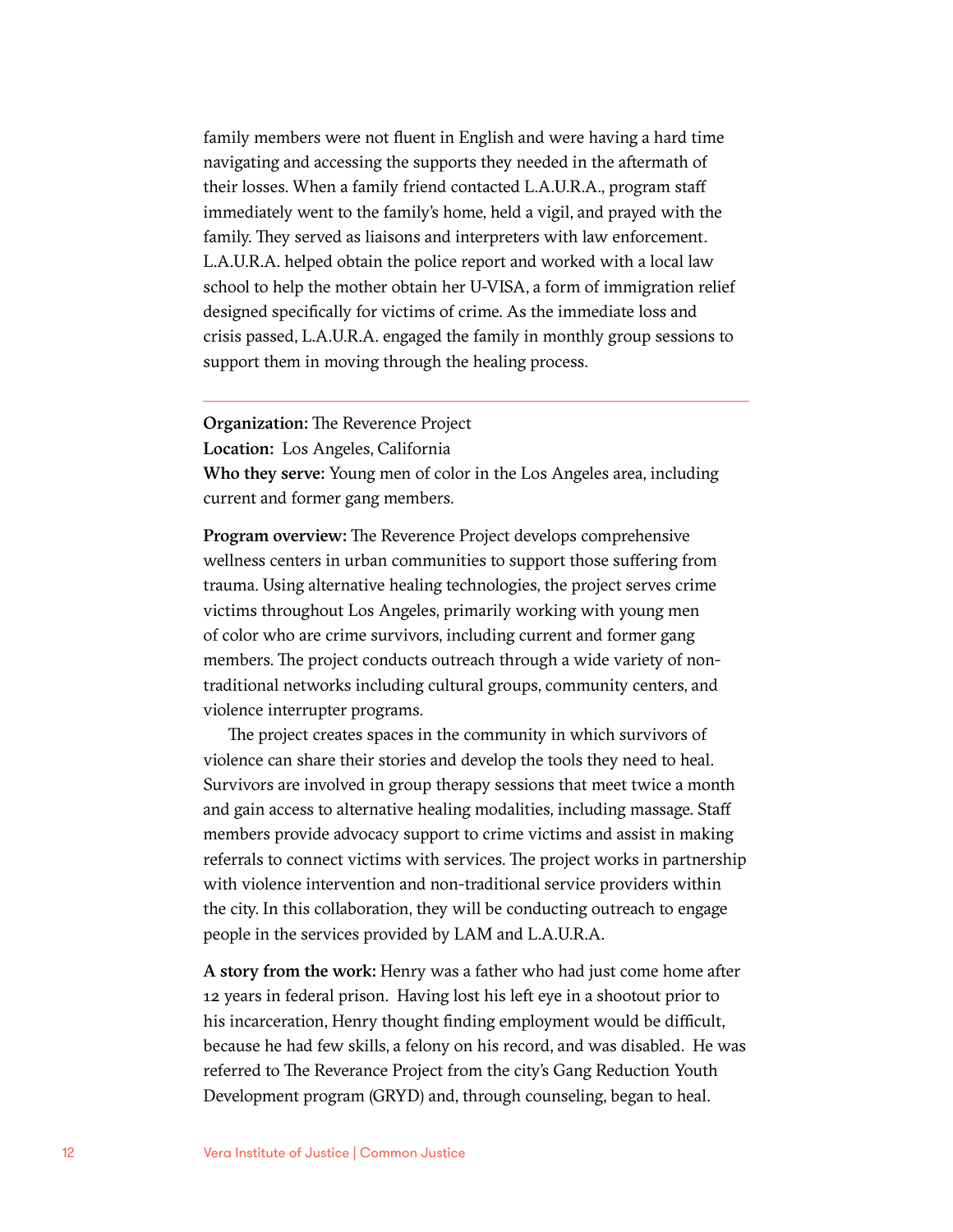family members were not fluent in English and were having a hard time navigating and accessing the supports they needed in the aftermath of their losses. When a family friend contacted L.A.U.R.A., program staff immediately went to the family's home, held a vigil, and prayed with the family. They served as liaisons and interpreters with law enforcement. L.A.U.R.A. helped obtain the police report and worked with a local law school to help the mother obtain her U-VISA, a form of immigration relief designed specifically for victims of crime. As the immediate loss and crisis passed, L.A.U.R.A. engaged the family in monthly group sessions to support them in moving through the healing process.

Organization: The Reverence Project

Location: Los Angeles, California

Who they serve: Young men of color in the Los Angeles area, including current and former gang members.

Program overview: The Reverence Project develops comprehensive wellness centers in urban communities to support those suffering from trauma. Using alternative healing technologies, the project serves crime victims throughout Los Angeles, primarily working with young men of color who are crime survivors, including current and former gang members. The project conducts outreach through a wide variety of nontraditional networks including cultural groups, community centers, and violence interrupter programs.

The project creates spaces in the community in which survivors of violence can share their stories and develop the tools they need to heal. Survivors are involved in group therapy sessions that meet twice a month and gain access to alternative healing modalities, including massage. Staff members provide advocacy support to crime victims and assist in making referrals to connect victims with services. The project works in partnership with violence intervention and non-traditional service providers within the city. In this collaboration, they will be conducting outreach to engage people in the services provided by LAM and L.A.U.R.A.

A story from the work: Henry was a father who had just come home after 12 years in federal prison. Having lost his left eye in a shootout prior to his incarceration, Henry thought finding employment would be difficult, because he had few skills, a felony on his record, and was disabled. He was referred to The Reverance Project from the city's Gang Reduction Youth Development program (GRYD) and, through counseling, began to heal.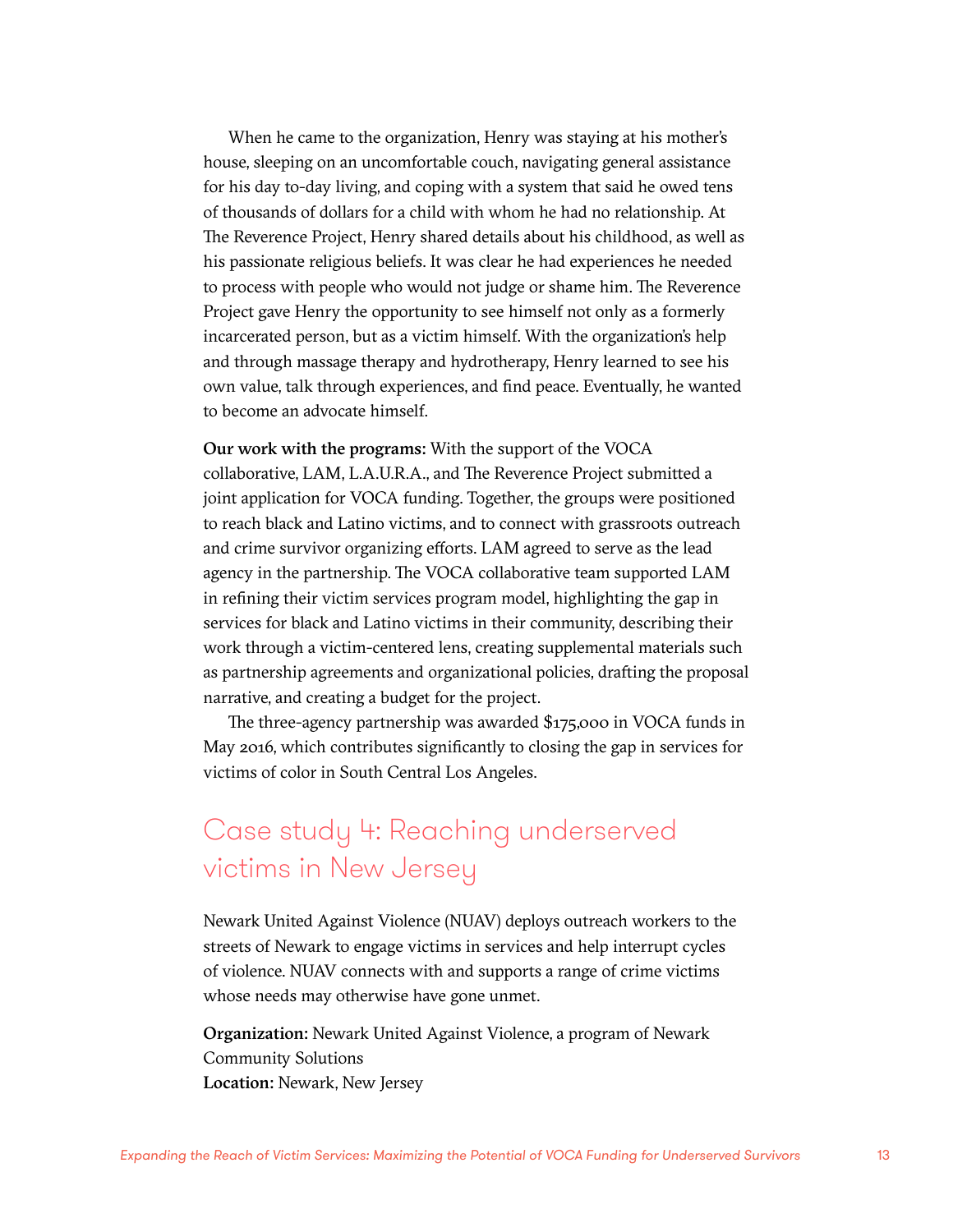When he came to the organization, Henry was staying at his mother's house, sleeping on an uncomfortable couch, navigating general assistance for his day to-day living, and coping with a system that said he owed tens of thousands of dollars for a child with whom he had no relationship. At The Reverence Project, Henry shared details about his childhood, as well as his passionate religious beliefs. It was clear he had experiences he needed to process with people who would not judge or shame him. The Reverence Project gave Henry the opportunity to see himself not only as a formerly incarcerated person, but as a victim himself. With the organization's help and through massage therapy and hydrotherapy, Henry learned to see his own value, talk through experiences, and find peace. Eventually, he wanted to become an advocate himself.

Our work with the programs: With the support of the VOCA collaborative, LAM, L.A.U.R.A., and The Reverence Project submitted a joint application for VOCA funding. Together, the groups were positioned to reach black and Latino victims, and to connect with grassroots outreach and crime survivor organizing efforts. LAM agreed to serve as the lead agency in the partnership. The VOCA collaborative team supported LAM in refining their victim services program model, highlighting the gap in services for black and Latino victims in their community, describing their work through a victim-centered lens, creating supplemental materials such as partnership agreements and organizational policies, drafting the proposal narrative, and creating a budget for the project.

The three-agency partnership was awarded \$175,000 in VOCA funds in May 2016, which contributes significantly to closing the gap in services for victims of color in South Central Los Angeles.

### Case study 4: Reaching underserved victims in New Jersey

Newark United Against Violence (NUAV) deploys outreach workers to the streets of Newark to engage victims in services and help interrupt cycles of violence. NUAV connects with and supports a range of crime victims whose needs may otherwise have gone unmet.

Organization: Newark United Against Violence, a program of Newark Community Solutions Location: Newark, New Jersey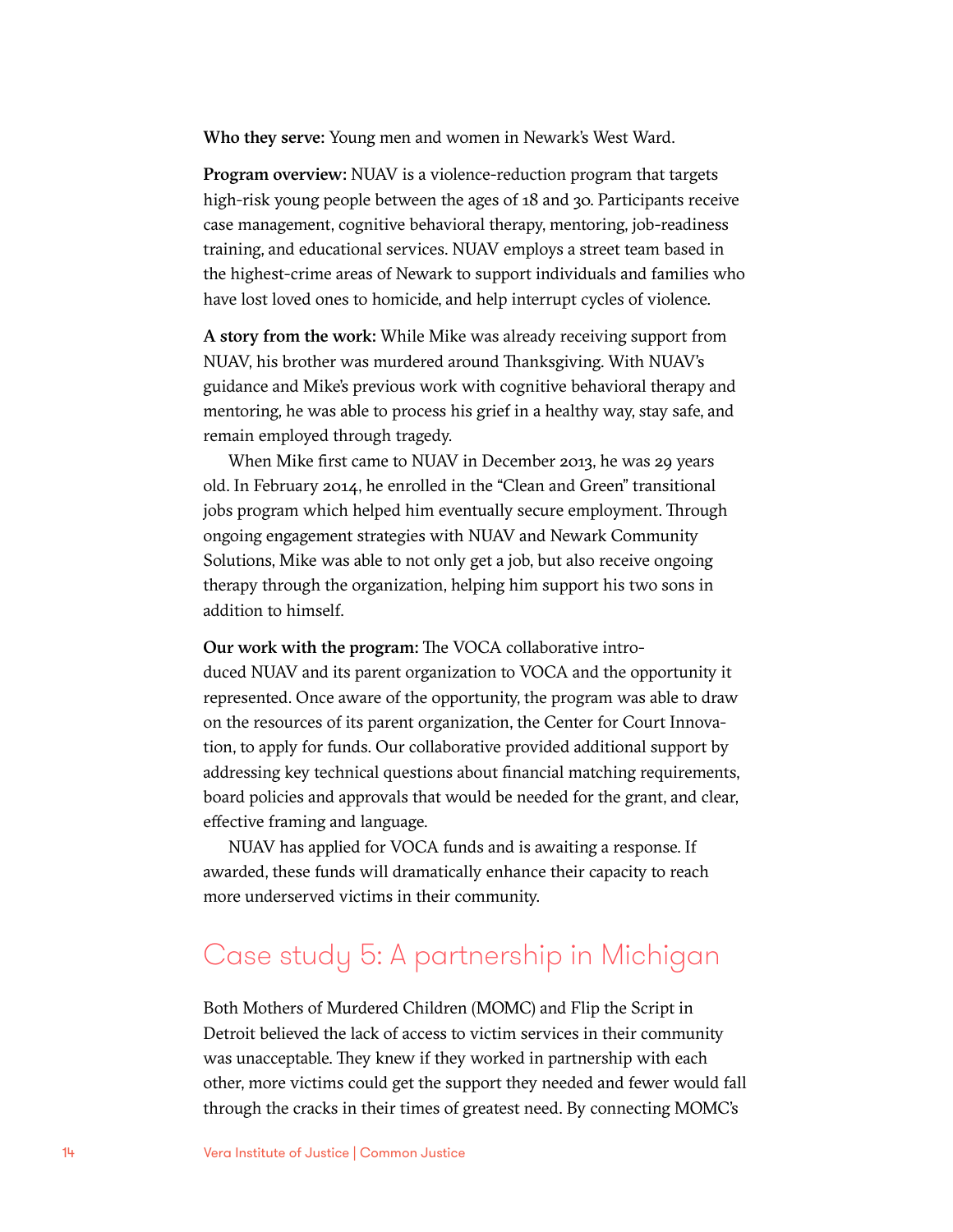Who they serve: Young men and women in Newark's West Ward.

Program overview: NUAV is a violence-reduction program that targets high-risk young people between the ages of 18 and 30. Participants receive case management, cognitive behavioral therapy, mentoring, job-readiness training, and educational services. NUAV employs a street team based in the highest-crime areas of Newark to support individuals and families who have lost loved ones to homicide, and help interrupt cycles of violence.

A story from the work: While Mike was already receiving support from NUAV, his brother was murdered around Thanksgiving. With NUAV's guidance and Mike's previous work with cognitive behavioral therapy and mentoring, he was able to process his grief in a healthy way, stay safe, and remain employed through tragedy.

When Mike first came to NUAV in December 2013, he was 29 years old. In February 2014, he enrolled in the "Clean and Green" transitional jobs program which helped him eventually secure employment. Through ongoing engagement strategies with NUAV and Newark Community Solutions, Mike was able to not only get a job, but also receive ongoing therapy through the organization, helping him support his two sons in addition to himself.

Our work with the program: The VOCA collaborative introduced NUAV and its parent organization to VOCA and the opportunity it represented. Once aware of the opportunity, the program was able to draw on the resources of its parent organization, the Center for Court Innovation, to apply for funds. Our collaborative provided additional support by addressing key technical questions about financial matching requirements, board policies and approvals that would be needed for the grant, and clear, effective framing and language.

NUAV has applied for VOCA funds and is awaiting a response. If awarded, these funds will dramatically enhance their capacity to reach more underserved victims in their community.

### Case study 5: A partnership in Michigan

Both Mothers of Murdered Children (MOMC) and Flip the Script in Detroit believed the lack of access to victim services in their community was unacceptable. They knew if they worked in partnership with each other, more victims could get the support they needed and fewer would fall through the cracks in their times of greatest need. By connecting MOMC's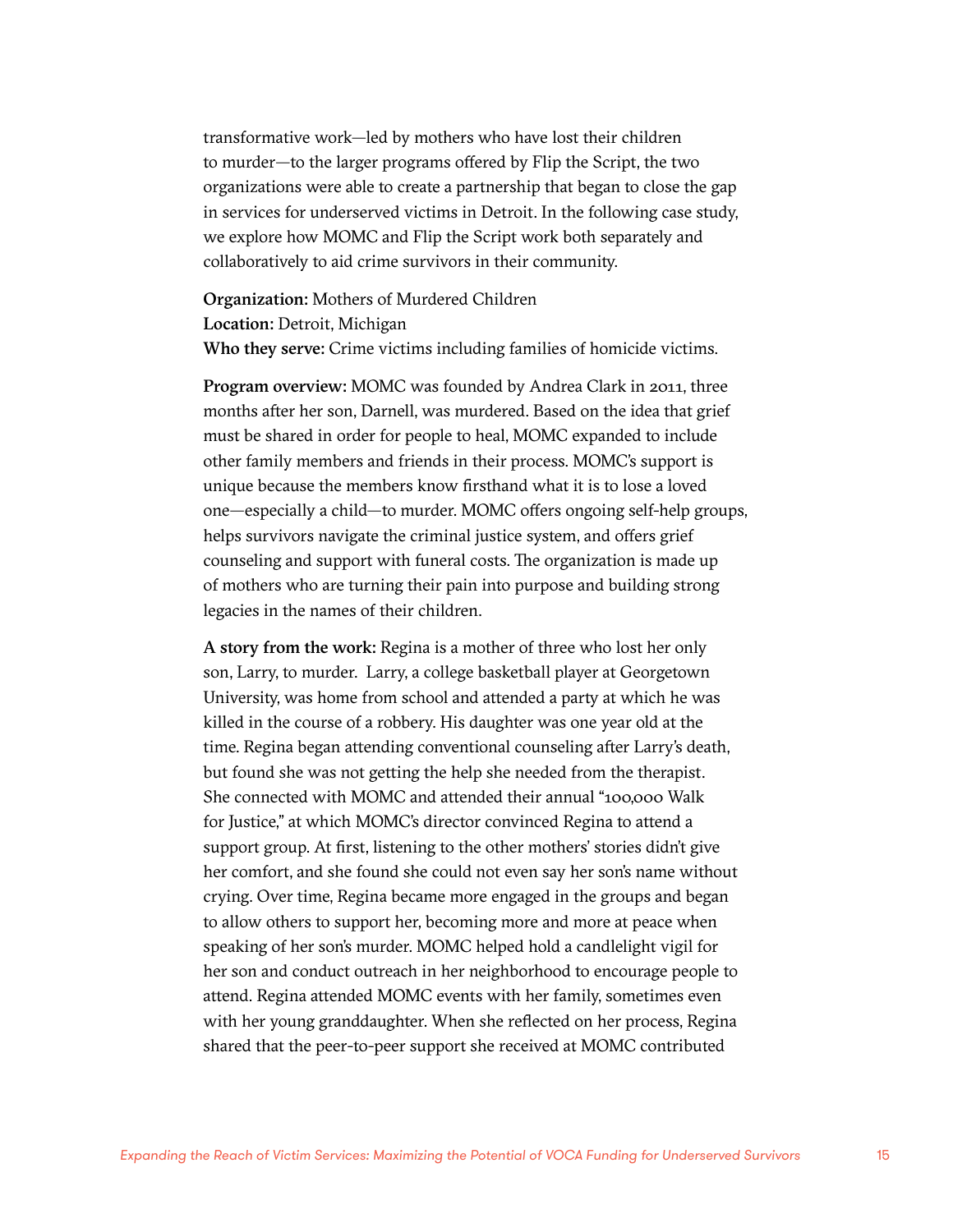transformative work—led by mothers who have lost their children to murder—to the larger programs offered by Flip the Script, the two organizations were able to create a partnership that began to close the gap in services for underserved victims in Detroit. In the following case study, we explore how MOMC and Flip the Script work both separately and collaboratively to aid crime survivors in their community.

Organization: Mothers of Murdered Children Location: Detroit, Michigan Who they serve: Crime victims including families of homicide victims.

Program overview: MOMC was founded by Andrea Clark in 2011, three months after her son, Darnell, was murdered. Based on the idea that grief must be shared in order for people to heal, MOMC expanded to include other family members and friends in their process. MOMC's support is unique because the members know firsthand what it is to lose a loved one—especially a child—to murder. MOMC offers ongoing self-help groups, helps survivors navigate the criminal justice system, and offers grief counseling and support with funeral costs. The organization is made up of mothers who are turning their pain into purpose and building strong legacies in the names of their children.

A story from the work: Regina is a mother of three who lost her only son, Larry, to murder. Larry, a college basketball player at Georgetown University, was home from school and attended a party at which he was killed in the course of a robbery. His daughter was one year old at the time. Regina began attending conventional counseling after Larry's death, but found she was not getting the help she needed from the therapist. She connected with MOMC and attended their annual "100,000 Walk for Justice," at which MOMC's director convinced Regina to attend a support group. At first, listening to the other mothers' stories didn't give her comfort, and she found she could not even say her son's name without crying. Over time, Regina became more engaged in the groups and began to allow others to support her, becoming more and more at peace when speaking of her son's murder. MOMC helped hold a candlelight vigil for her son and conduct outreach in her neighborhood to encourage people to attend. Regina attended MOMC events with her family, sometimes even with her young granddaughter. When she reflected on her process, Regina shared that the peer-to-peer support she received at MOMC contributed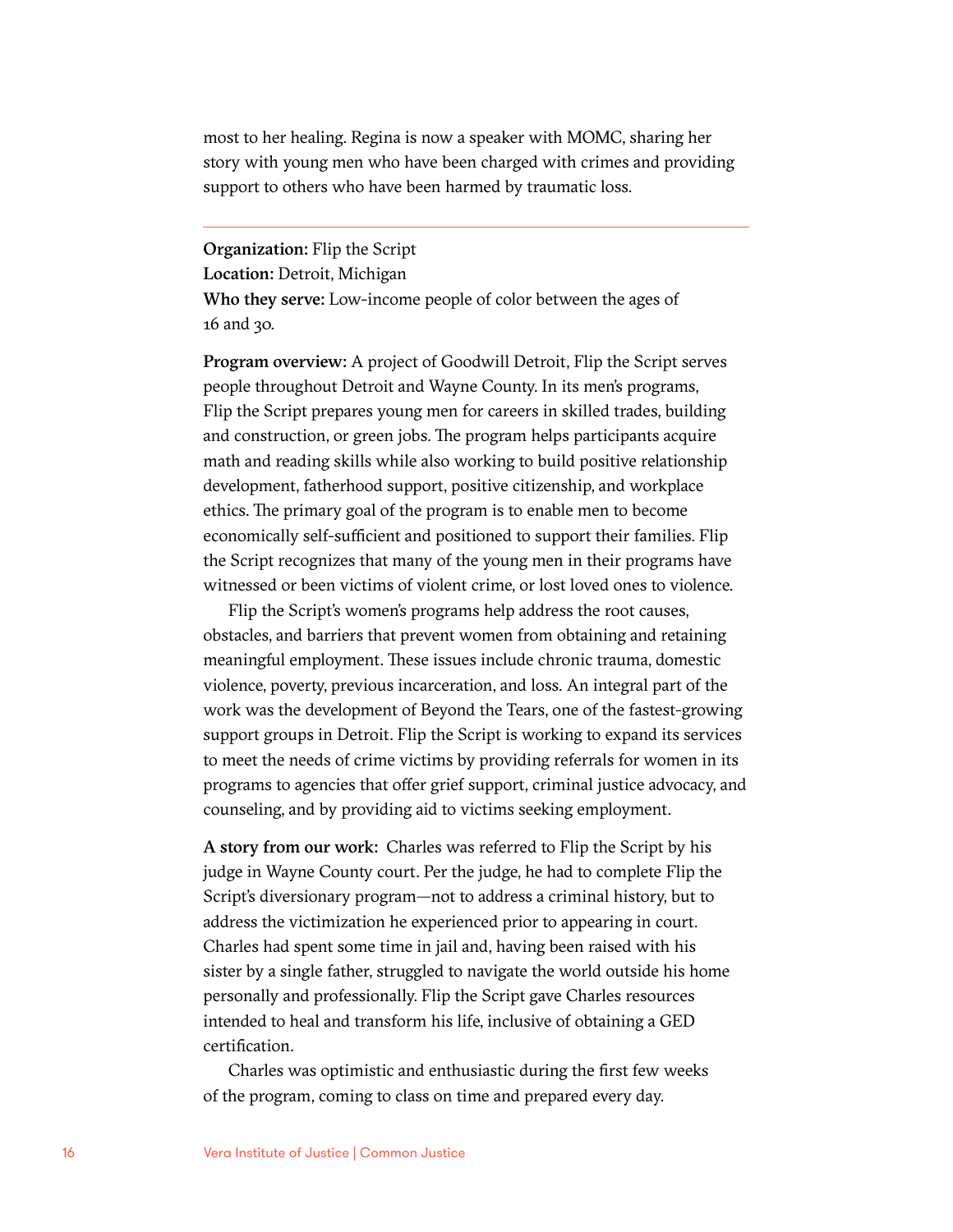most to her healing. Regina is now a speaker with MOMC, sharing her story with young men who have been charged with crimes and providing support to others who have been harmed by traumatic loss.

Organization: Flip the Script Location: Detroit, Michigan Who they serve: Low-income people of color between the ages of 16 and 30.

Program overview: A project of Goodwill Detroit, Flip the Script serves people throughout Detroit and Wayne County. In its men's programs, Flip the Script prepares young men for careers in skilled trades, building and construction, or green jobs. The program helps participants acquire math and reading skills while also working to build positive relationship development, fatherhood support, positive citizenship, and workplace ethics. The primary goal of the program is to enable men to become economically self-sufficient and positioned to support their families. Flip the Script recognizes that many of the young men in their programs have witnessed or been victims of violent crime, or lost loved ones to violence.

Flip the Script's women's programs help address the root causes, obstacles, and barriers that prevent women from obtaining and retaining meaningful employment. These issues include chronic trauma, domestic violence, poverty, previous incarceration, and loss. An integral part of the work was the development of Beyond the Tears, one of the fastest-growing support groups in Detroit. Flip the Script is working to expand its services to meet the needs of crime victims by providing referrals for women in its programs to agencies that offer grief support, criminal justice advocacy, and counseling, and by providing aid to victims seeking employment.

A story from our work: Charles was referred to Flip the Script by his judge in Wayne County court. Per the judge, he had to complete Flip the Script's diversionary program—not to address a criminal history, but to address the victimization he experienced prior to appearing in court. Charles had spent some time in jail and, having been raised with his sister by a single father, struggled to navigate the world outside his home personally and professionally. Flip the Script gave Charles resources intended to heal and transform his life, inclusive of obtaining a GED certification.

Charles was optimistic and enthusiastic during the first few weeks of the program, coming to class on time and prepared every day.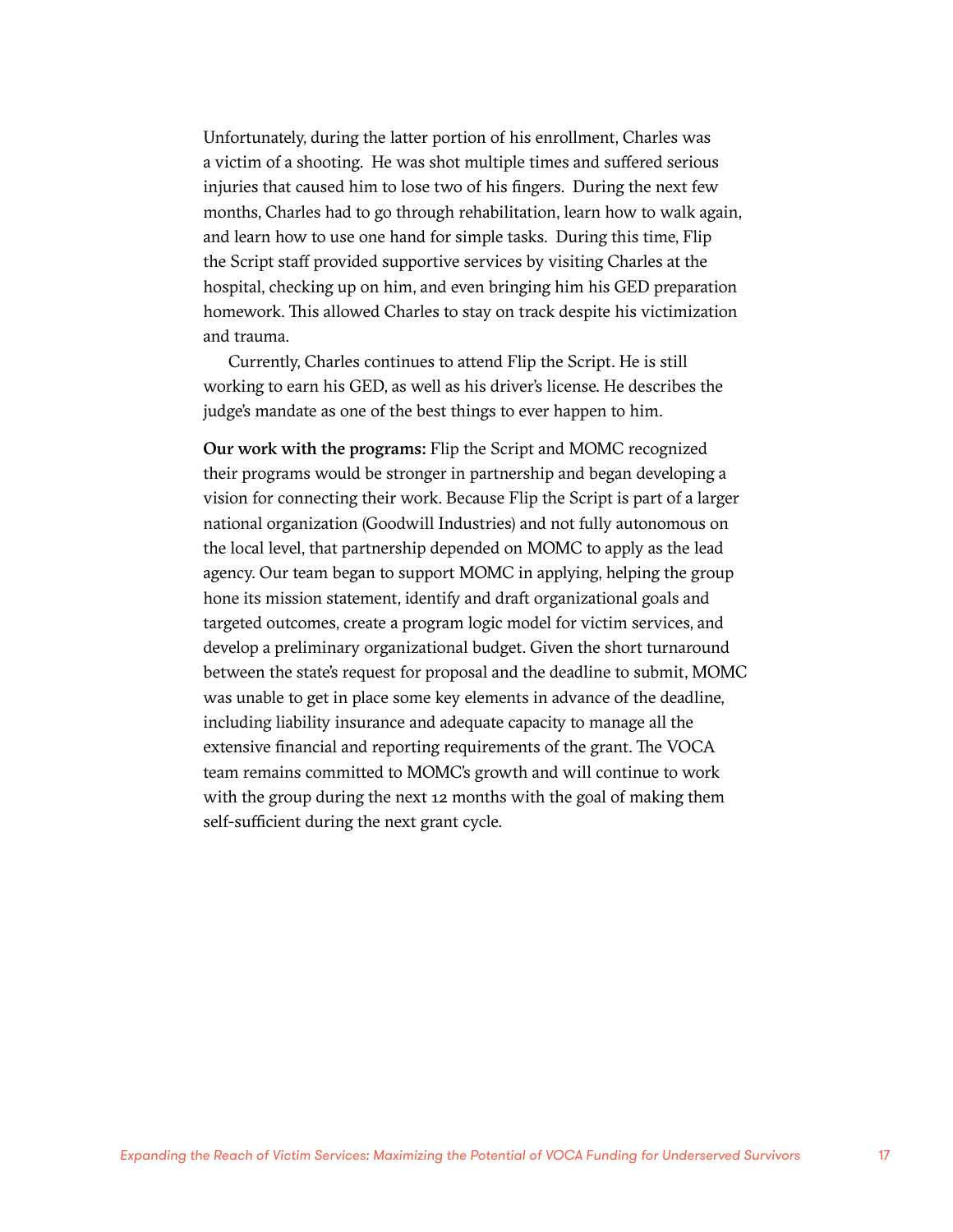Unfortunately, during the latter portion of his enrollment, Charles was a victim of a shooting. He was shot multiple times and suffered serious injuries that caused him to lose two of his fingers. During the next few months, Charles had to go through rehabilitation, learn how to walk again, and learn how to use one hand for simple tasks. During this time, Flip the Script staff provided supportive services by visiting Charles at the hospital, checking up on him, and even bringing him his GED preparation homework. This allowed Charles to stay on track despite his victimization and trauma.

Currently, Charles continues to attend Flip the Script. He is still working to earn his GED, as well as his driver's license. He describes the judge's mandate as one of the best things to ever happen to him.

Our work with the programs: Flip the Script and MOMC recognized their programs would be stronger in partnership and began developing a vision for connecting their work. Because Flip the Script is part of a larger national organization (Goodwill Industries) and not fully autonomous on the local level, that partnership depended on MOMC to apply as the lead agency. Our team began to support MOMC in applying, helping the group hone its mission statement, identify and draft organizational goals and targeted outcomes, create a program logic model for victim services, and develop a preliminary organizational budget. Given the short turnaround between the state's request for proposal and the deadline to submit, MOMC was unable to get in place some key elements in advance of the deadline, including liability insurance and adequate capacity to manage all the extensive financial and reporting requirements of the grant. The VOCA team remains committed to MOMC's growth and will continue to work with the group during the next 12 months with the goal of making them self-sufficient during the next grant cycle.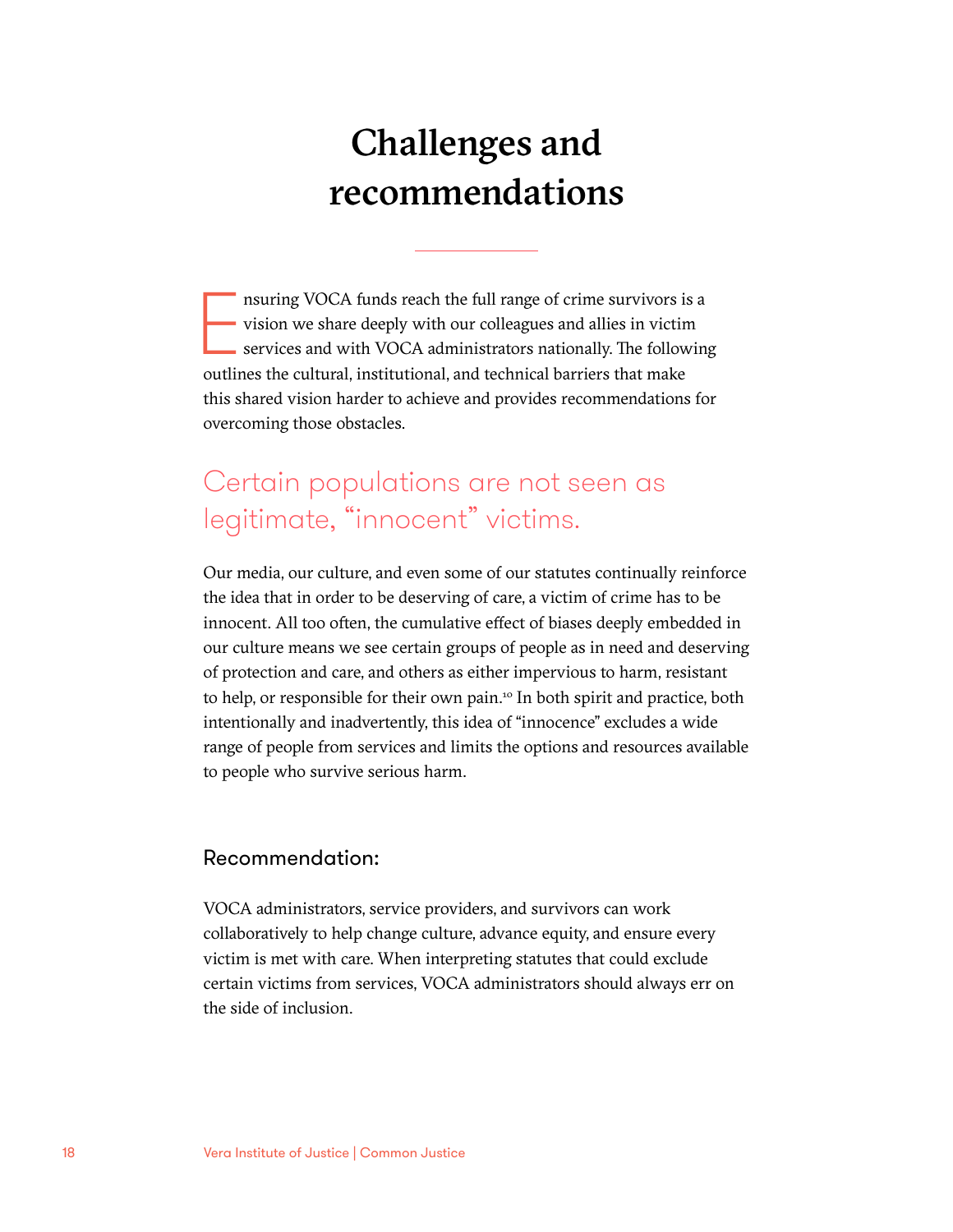# Challenges and recommendations

nsuring VOCA funds reach the full range of crime survivors is<br>vision we share deeply with our colleagues and allies in victin<br>services and with VOCA administrators nationally. The follow<br>outlines the cultural, institutiona nsuring VOCA funds reach the full range of crime survivors is a vision we share deeply with our colleagues and allies in victim services and with VOCA administrators nationally. The following this shared vision harder to achieve and provides recommendations for overcoming those obstacles.

### Certain populations are not seen as legitimate, "innocent" victims.

Our media, our culture, and even some of our statutes continually reinforce the idea that in order to be deserving of care, a victim of crime has to be innocent. All too often, the cumulative effect of biases deeply embedded in our culture means we see certain groups of people as in need and deserving of protection and care, and others as either impervious to harm, resistant to help, or responsible for their own pain.<sup>10</sup> In both spirit and practice, both intentionally and inadvertently, this idea of "innocence" excludes a wide range of people from services and limits the options and resources available to people who survive serious harm.

#### Recommendation:

VOCA administrators, service providers, and survivors can work collaboratively to help change culture, advance equity, and ensure every victim is met with care. When interpreting statutes that could exclude certain victims from services, VOCA administrators should always err on the side of inclusion.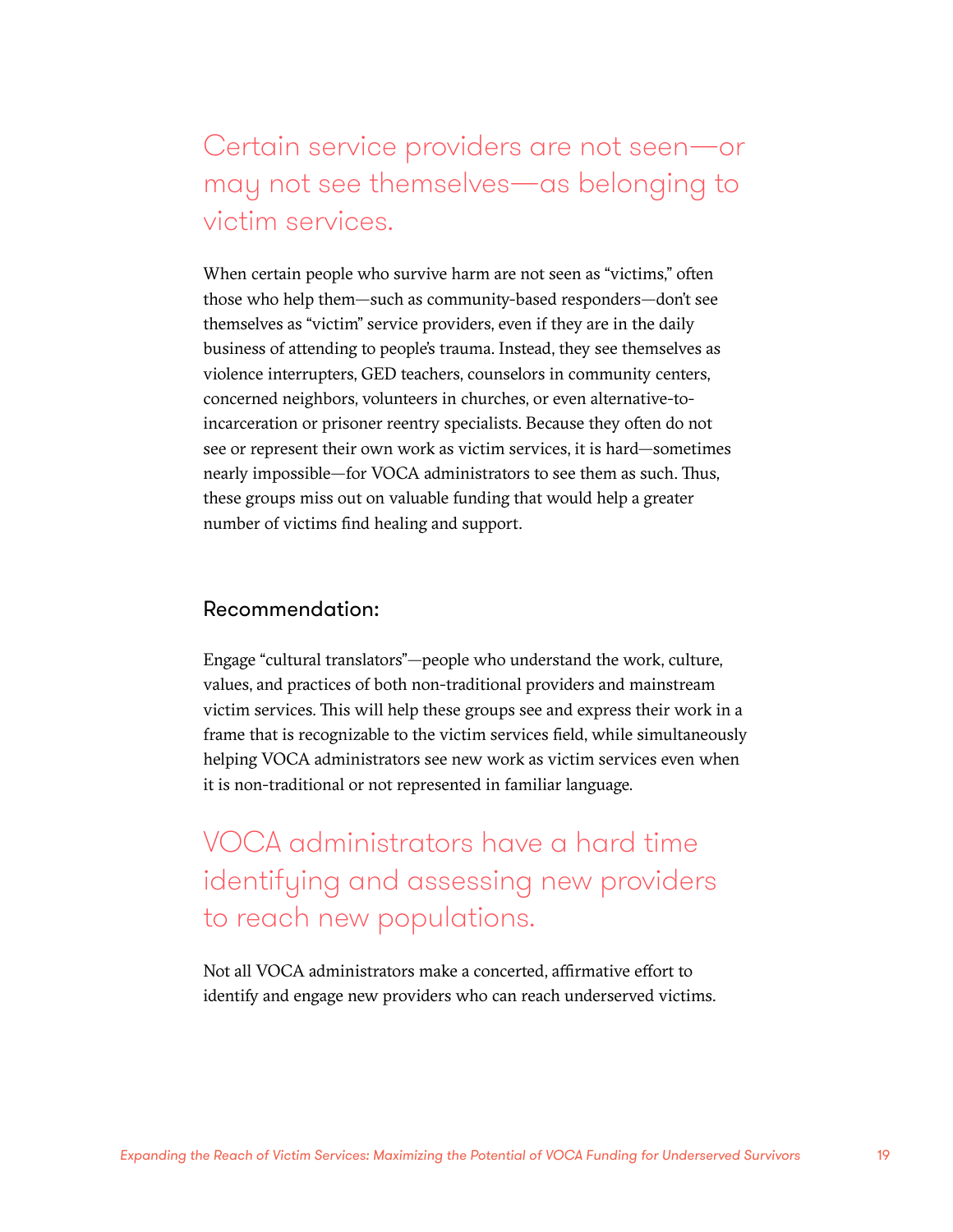Certain service providers are not seen—or may not see themselves—as belonging to victim services.

When certain people who survive harm are not seen as "victims," often those who help them—such as community-based responders—don't see themselves as "victim" service providers, even if they are in the daily business of attending to people's trauma. Instead, they see themselves as violence interrupters, GED teachers, counselors in community centers, concerned neighbors, volunteers in churches, or even alternative-toincarceration or prisoner reentry specialists. Because they often do not see or represent their own work as victim services, it is hard—sometimes nearly impossible—for VOCA administrators to see them as such. Thus, these groups miss out on valuable funding that would help a greater number of victims find healing and support.

#### Recommendation:

Engage "cultural translators"—people who understand the work, culture, values, and practices of both non-traditional providers and mainstream victim services. This will help these groups see and express their work in a frame that is recognizable to the victim services field, while simultaneously helping VOCA administrators see new work as victim services even when it is non-traditional or not represented in familiar language.

VOCA administrators have a hard time identifying and assessing new providers to reach new populations.

Not all VOCA administrators make a concerted, affirmative effort to identify and engage new providers who can reach underserved victims.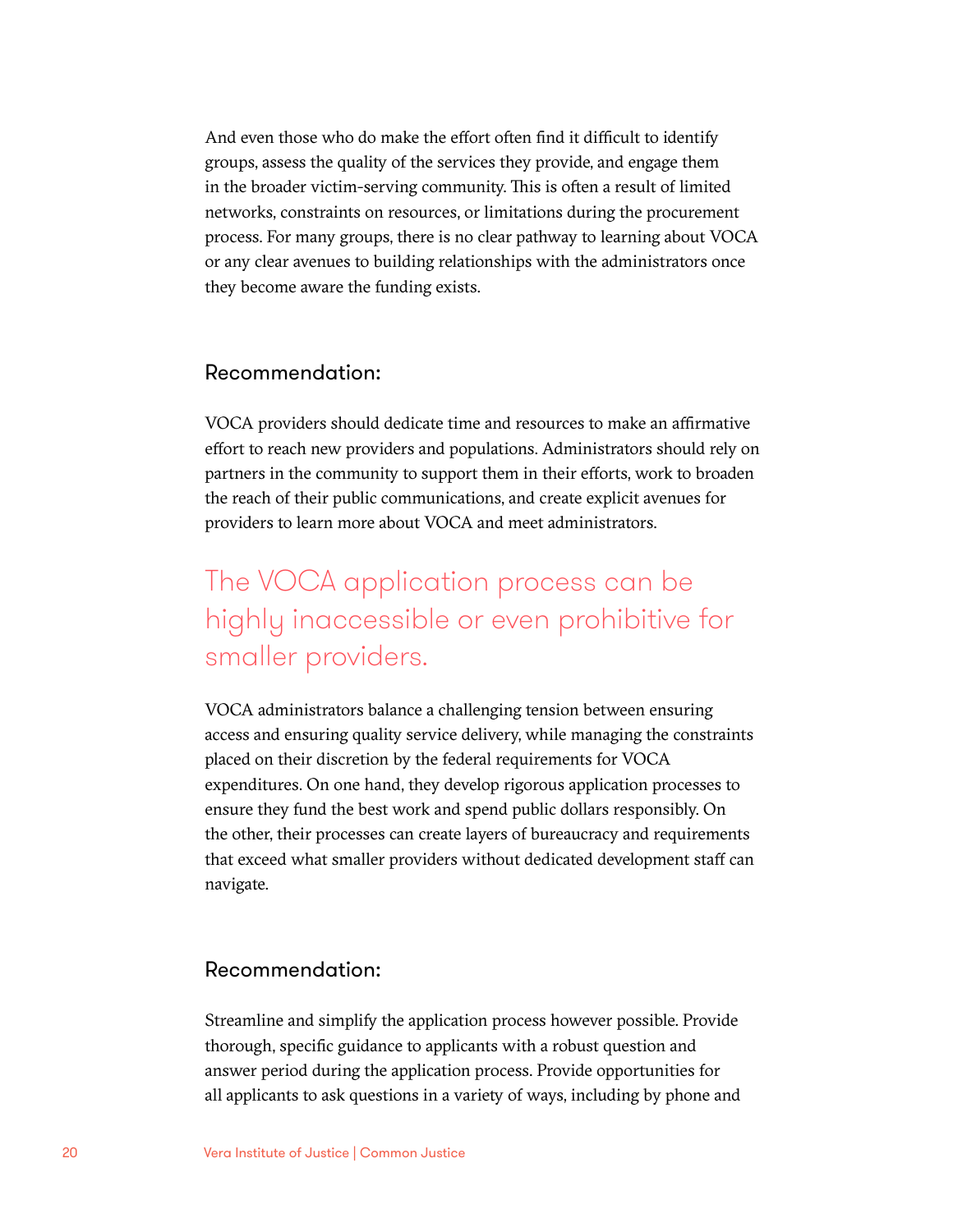And even those who do make the effort often find it difficult to identify groups, assess the quality of the services they provide, and engage them in the broader victim-serving community. This is often a result of limited networks, constraints on resources, or limitations during the procurement process. For many groups, there is no clear pathway to learning about VOCA or any clear avenues to building relationships with the administrators once they become aware the funding exists.

#### Recommendation:

VOCA providers should dedicate time and resources to make an affirmative effort to reach new providers and populations. Administrators should rely on partners in the community to support them in their efforts, work to broaden the reach of their public communications, and create explicit avenues for providers to learn more about VOCA and meet administrators.

### The VOCA application process can be highly inaccessible or even prohibitive for smaller providers.

VOCA administrators balance a challenging tension between ensuring access and ensuring quality service delivery, while managing the constraints placed on their discretion by the federal requirements for VOCA expenditures. On one hand, they develop rigorous application processes to ensure they fund the best work and spend public dollars responsibly. On the other, their processes can create layers of bureaucracy and requirements that exceed what smaller providers without dedicated development staff can navigate.

#### Recommendation:

Streamline and simplify the application process however possible. Provide thorough, specific guidance to applicants with a robust question and answer period during the application process. Provide opportunities for all applicants to ask questions in a variety of ways, including by phone and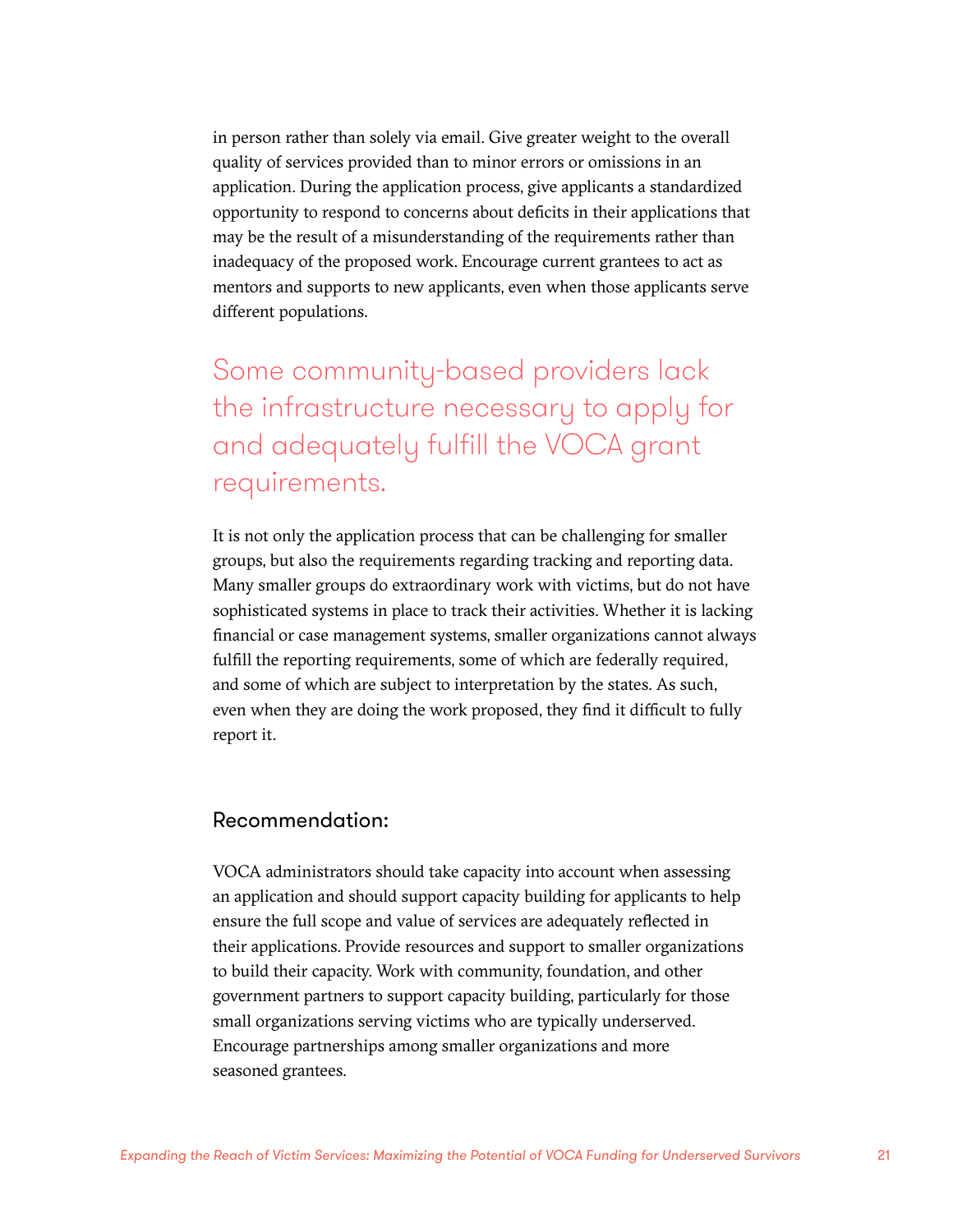in person rather than solely via email. Give greater weight to the overall quality of services provided than to minor errors or omissions in an application. During the application process, give applicants a standardized opportunity to respond to concerns about deficits in their applications that may be the result of a misunderstanding of the requirements rather than inadequacy of the proposed work. Encourage current grantees to act as mentors and supports to new applicants, even when those applicants serve different populations.

Some community-based providers lack the infrastructure necessary to apply for and adequately fulfill the VOCA grant requirements.

It is not only the application process that can be challenging for smaller groups, but also the requirements regarding tracking and reporting data. Many smaller groups do extraordinary work with victims, but do not have sophisticated systems in place to track their activities. Whether it is lacking financial or case management systems, smaller organizations cannot always fulfill the reporting requirements, some of which are federally required, and some of which are subject to interpretation by the states. As such, even when they are doing the work proposed, they find it difficult to fully report it.

#### Recommendation:

VOCA administrators should take capacity into account when assessing an application and should support capacity building for applicants to help ensure the full scope and value of services are adequately reflected in their applications. Provide resources and support to smaller organizations to build their capacity. Work with community, foundation, and other government partners to support capacity building, particularly for those small organizations serving victims who are typically underserved. Encourage partnerships among smaller organizations and more seasoned grantees.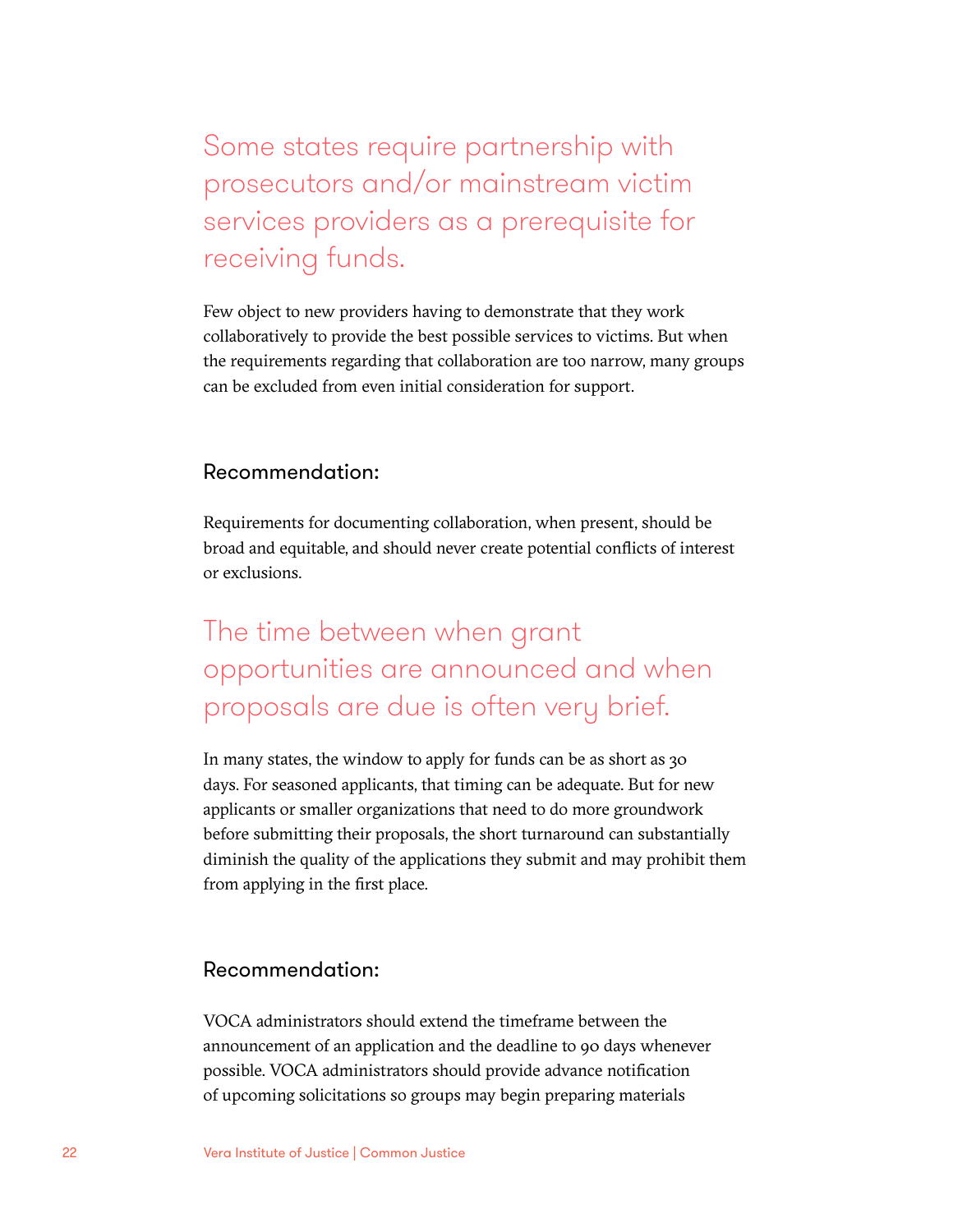## Some states require partnership with prosecutors and/or mainstream victim services providers as a prerequisite for receiving funds.

Few object to new providers having to demonstrate that they work collaboratively to provide the best possible services to victims. But when the requirements regarding that collaboration are too narrow, many groups can be excluded from even initial consideration for support.

#### Recommendation:

Requirements for documenting collaboration, when present, should be broad and equitable, and should never create potential conflicts of interest or exclusions.

### The time between when grant opportunities are announced and when proposals are due is often very brief.

In many states, the window to apply for funds can be as short as 30 days. For seasoned applicants, that timing can be adequate. But for new applicants or smaller organizations that need to do more groundwork before submitting their proposals, the short turnaround can substantially diminish the quality of the applications they submit and may prohibit them from applying in the first place.

#### Recommendation:

VOCA administrators should extend the timeframe between the announcement of an application and the deadline to 90 days whenever possible. VOCA administrators should provide advance notification of upcoming solicitations so groups may begin preparing materials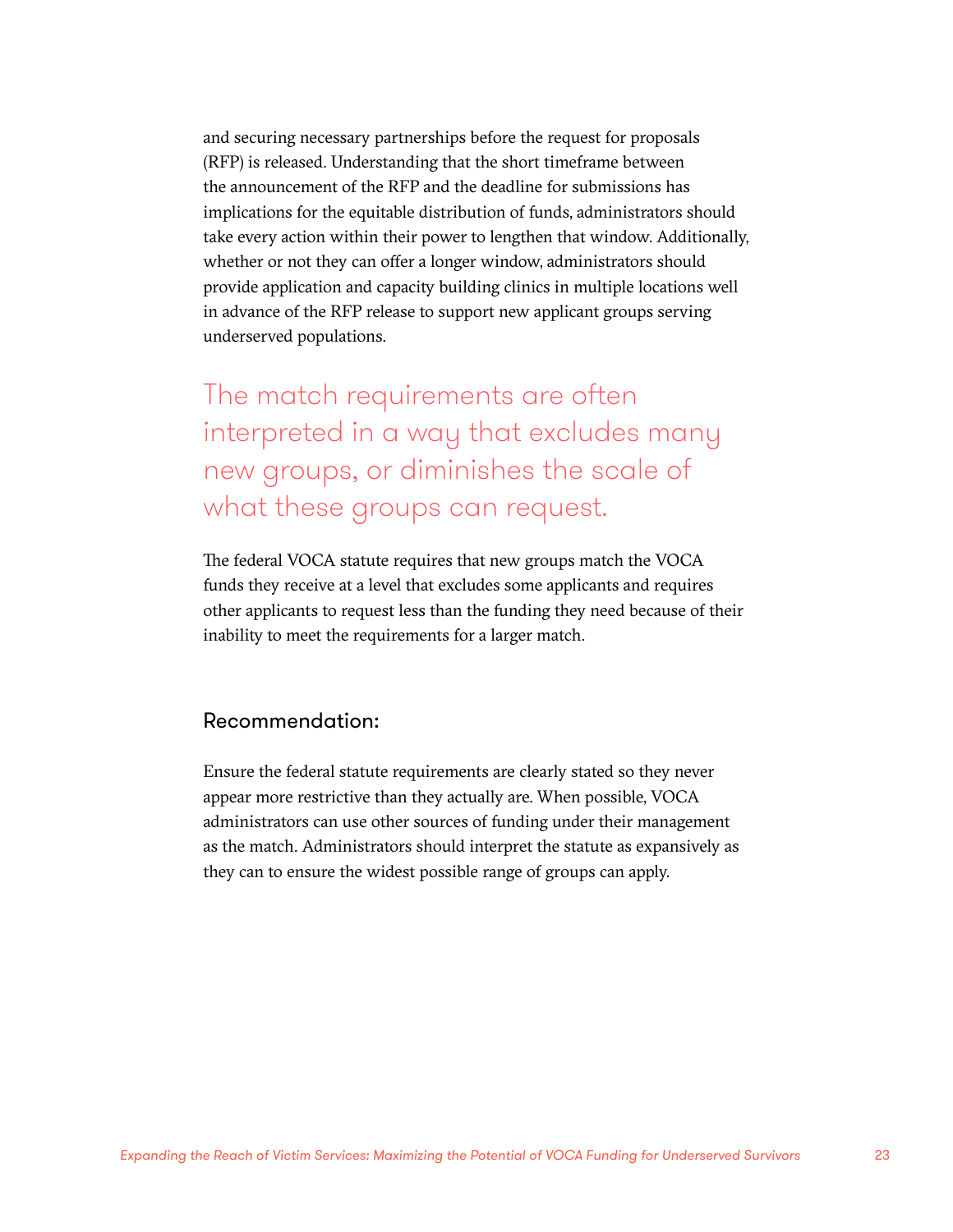and securing necessary partnerships before the request for proposals (RFP) is released. Understanding that the short timeframe between the announcement of the RFP and the deadline for submissions has implications for the equitable distribution of funds, administrators should take every action within their power to lengthen that window. Additionally, whether or not they can offer a longer window, administrators should provide application and capacity building clinics in multiple locations well in advance of the RFP release to support new applicant groups serving underserved populations.

The match requirements are often interpreted in a way that excludes many new groups, or diminishes the scale of what these groups can request.

The federal VOCA statute requires that new groups match the VOCA funds they receive at a level that excludes some applicants and requires other applicants to request less than the funding they need because of their inability to meet the requirements for a larger match.

#### Recommendation:

Ensure the federal statute requirements are clearly stated so they never appear more restrictive than they actually are. When possible, VOCA administrators can use other sources of funding under their management as the match. Administrators should interpret the statute as expansively as they can to ensure the widest possible range of groups can apply.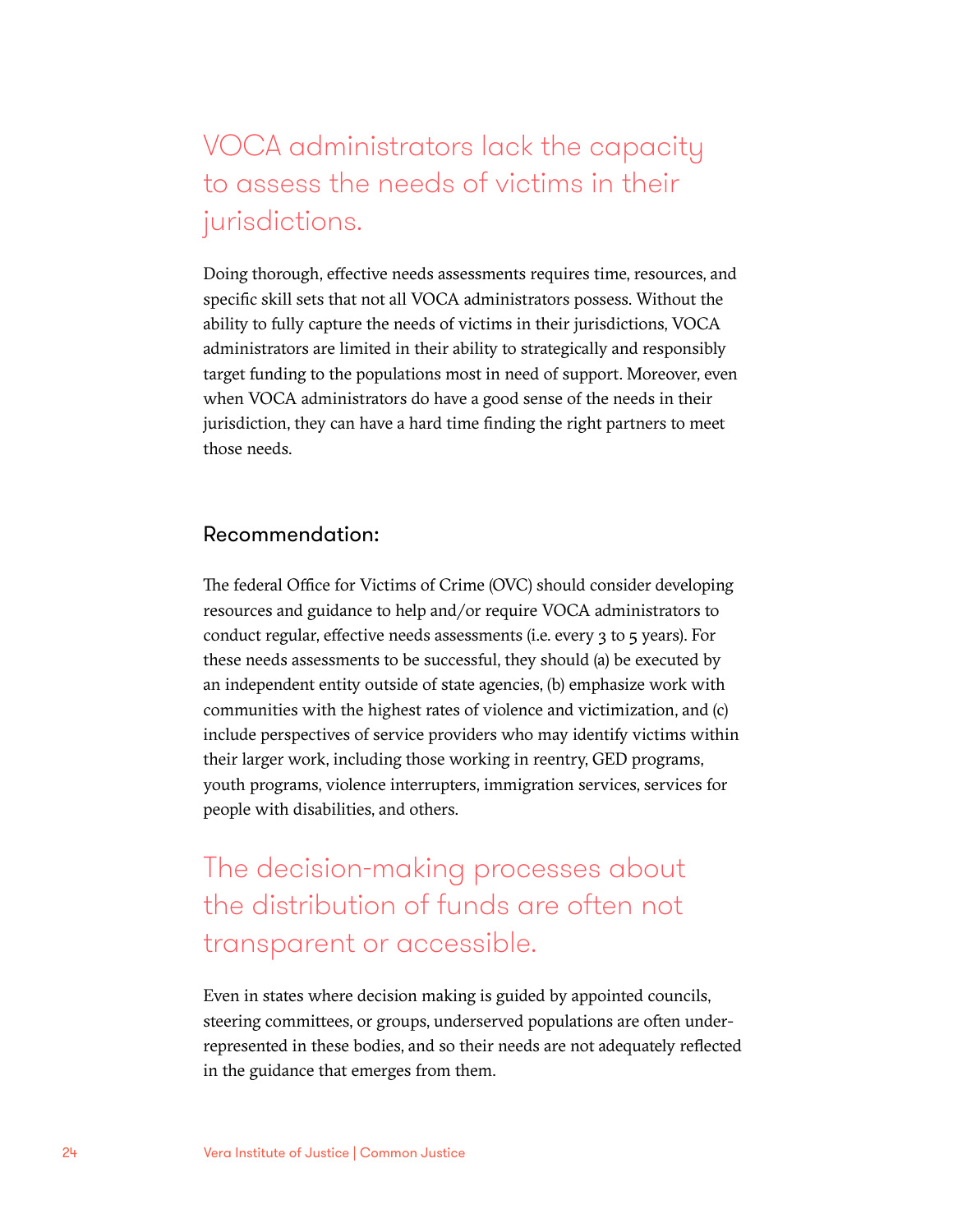### VOCA administrators lack the capacity to assess the needs of victims in their jurisdictions.

Doing thorough, effective needs assessments requires time, resources, and specific skill sets that not all VOCA administrators possess. Without the ability to fully capture the needs of victims in their jurisdictions, VOCA administrators are limited in their ability to strategically and responsibly target funding to the populations most in need of support. Moreover, even when VOCA administrators do have a good sense of the needs in their jurisdiction, they can have a hard time finding the right partners to meet those needs.

#### Recommendation:

The federal Office for Victims of Crime (OVC) should consider developing resources and guidance to help and/or require VOCA administrators to conduct regular, effective needs assessments (i.e. every 3 to 5 years). For these needs assessments to be successful, they should (a) be executed by an independent entity outside of state agencies, (b) emphasize work with communities with the highest rates of violence and victimization, and (c) include perspectives of service providers who may identify victims within their larger work, including those working in reentry, GED programs, youth programs, violence interrupters, immigration services, services for people with disabilities, and others.

The decision-making processes about the distribution of funds are often not transparent or accessible.

Even in states where decision making is guided by appointed councils, steering committees, or groups, underserved populations are often underrepresented in these bodies, and so their needs are not adequately reflected in the guidance that emerges from them.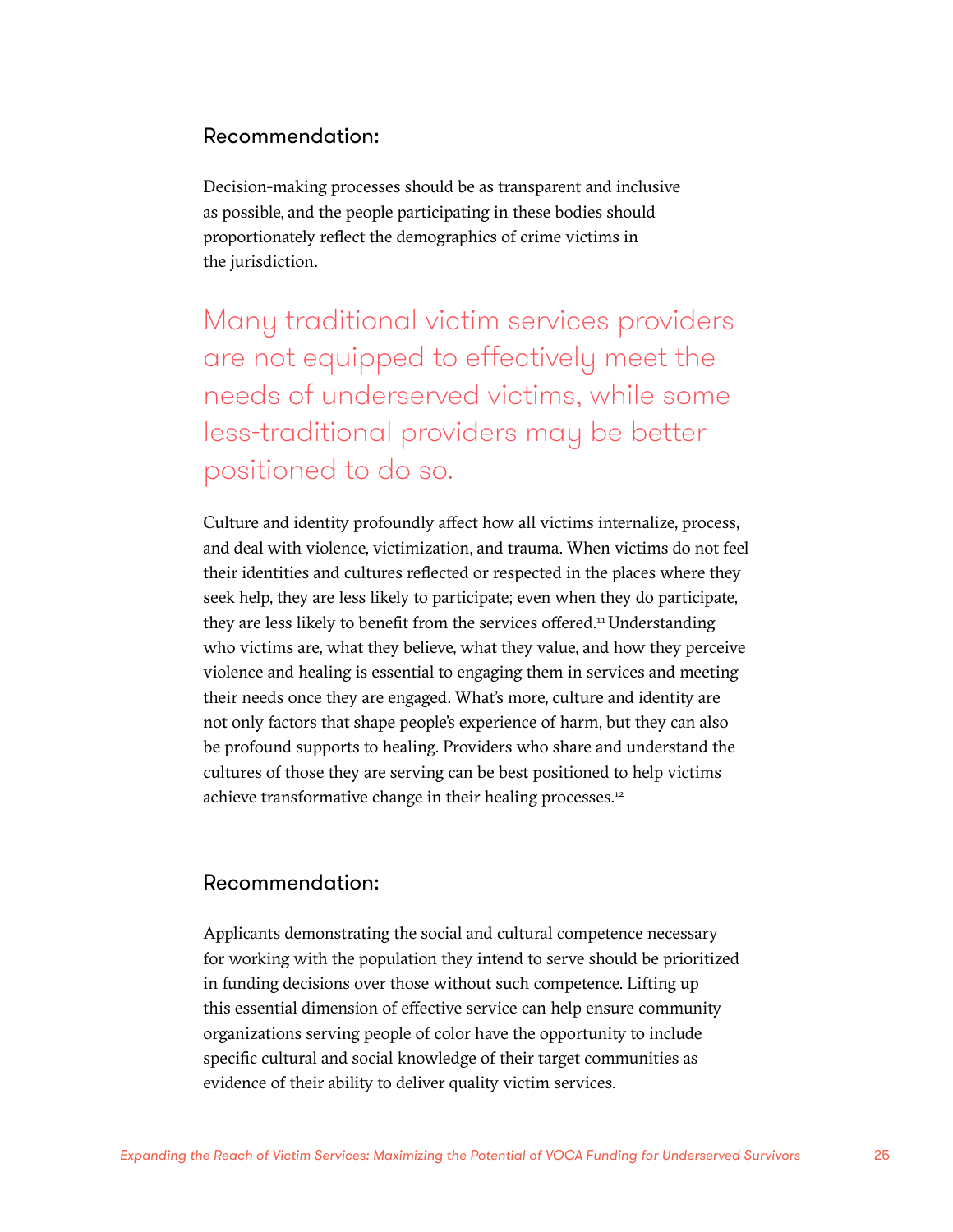#### Recommendation:

Decision-making processes should be as transparent and inclusive as possible, and the people participating in these bodies should proportionately reflect the demographics of crime victims in the jurisdiction.

Many traditional victim services providers are not equipped to effectively meet the needs of underserved victims, while some less-traditional providers may be better positioned to do so.

Culture and identity profoundly affect how all victims internalize, process, and deal with violence, victimization, and trauma. When victims do not feel their identities and cultures reflected or respected in the places where they seek help, they are less likely to participate; even when they do participate, they are less likely to benefit from the services offered.<sup>11</sup> Understanding who victims are, what they believe, what they value, and how they perceive violence and healing is essential to engaging them in services and meeting their needs once they are engaged. What's more, culture and identity are not only factors that shape people's experience of harm, but they can also be profound supports to healing. Providers who share and understand the cultures of those they are serving can be best positioned to help victims achieve transformative change in their healing processes.<sup>12</sup>

#### Recommendation:

Applicants demonstrating the social and cultural competence necessary for working with the population they intend to serve should be prioritized in funding decisions over those without such competence. Lifting up this essential dimension of effective service can help ensure community organizations serving people of color have the opportunity to include specific cultural and social knowledge of their target communities as evidence of their ability to deliver quality victim services.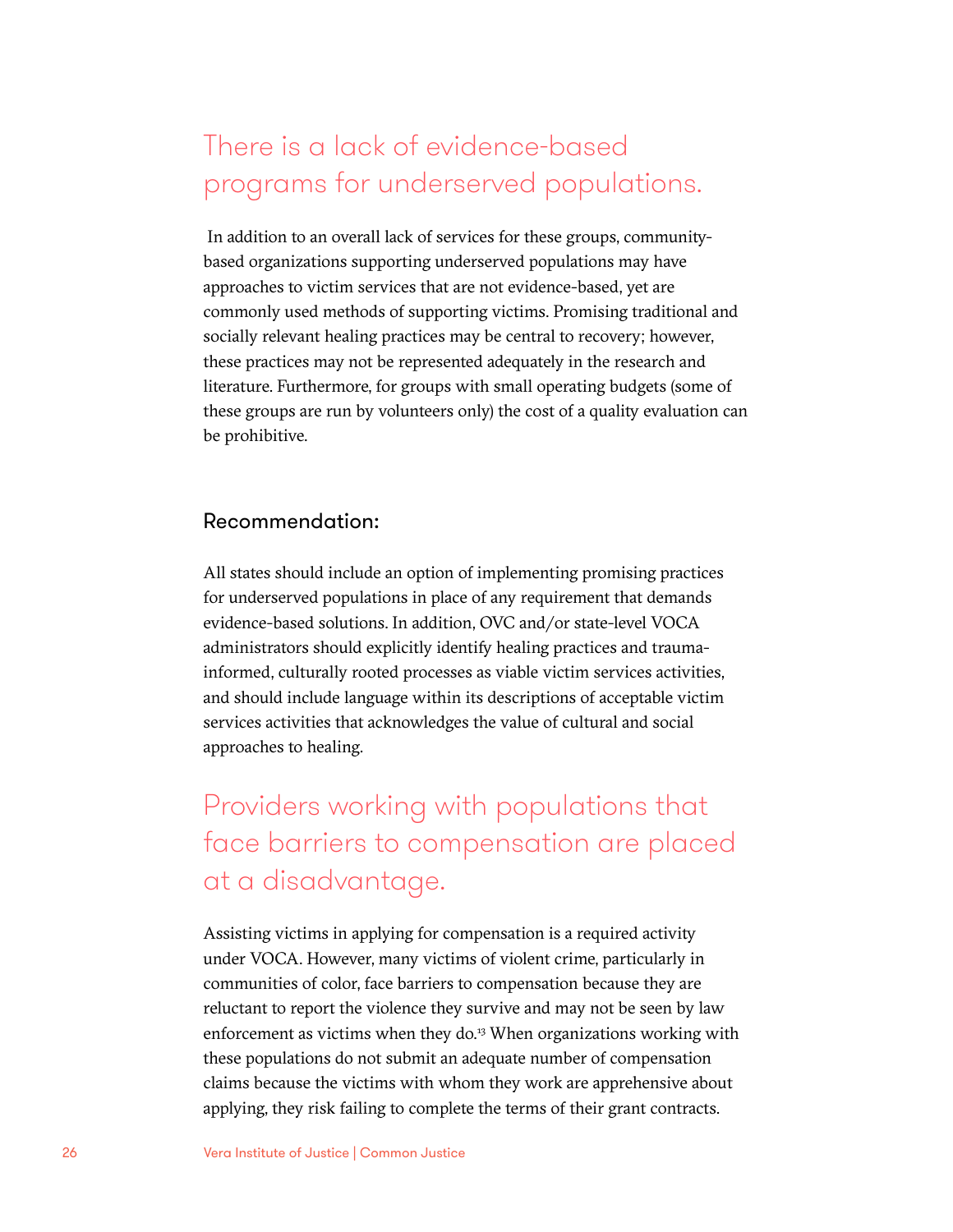### There is a lack of evidence-based programs for underserved populations.

 In addition to an overall lack of services for these groups, communitybased organizations supporting underserved populations may have approaches to victim services that are not evidence-based, yet are commonly used methods of supporting victims. Promising traditional and socially relevant healing practices may be central to recovery; however, these practices may not be represented adequately in the research and literature. Furthermore, for groups with small operating budgets (some of these groups are run by volunteers only) the cost of a quality evaluation can be prohibitive.

#### Recommendation:

All states should include an option of implementing promising practices for underserved populations in place of any requirement that demands evidence-based solutions. In addition, OVC and/or state-level VOCA administrators should explicitly identify healing practices and traumainformed, culturally rooted processes as viable victim services activities, and should include language within its descriptions of acceptable victim services activities that acknowledges the value of cultural and social approaches to healing.

### Providers working with populations that face barriers to compensation are placed at a disadvantage.

Assisting victims in applying for compensation is a required activity under VOCA. However, many victims of violent crime, particularly in communities of color, face barriers to compensation because they are reluctant to report the violence they survive and may not be seen by law enforcement as victims when they do.<sup>13</sup> When organizations working with these populations do not submit an adequate number of compensation claims because the victims with whom they work are apprehensive about applying, they risk failing to complete the terms of their grant contracts.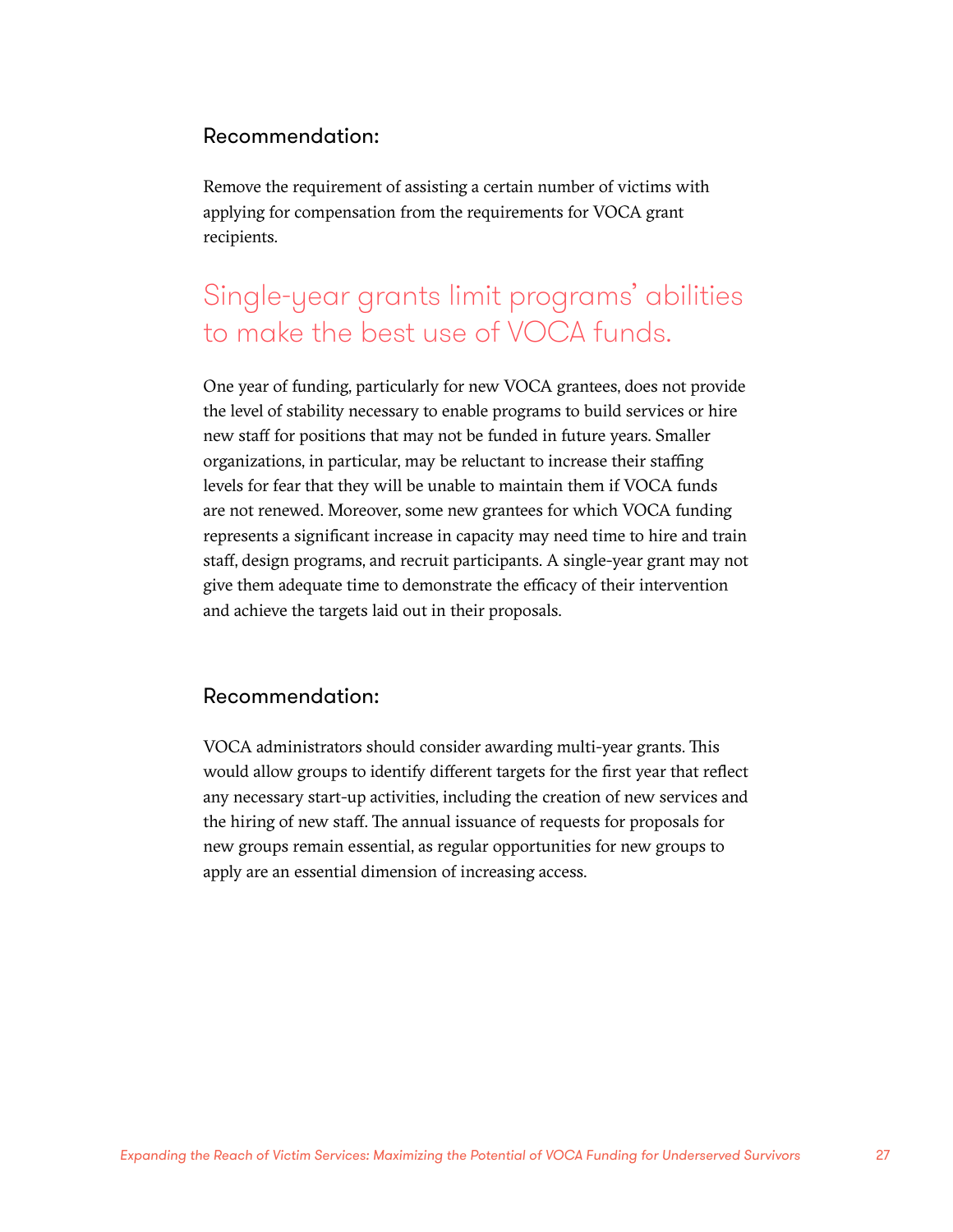#### Recommendation:

Remove the requirement of assisting a certain number of victims with applying for compensation from the requirements for VOCA grant recipients.

### Single-year grants limit programs' abilities to make the best use of VOCA funds.

One year of funding, particularly for new VOCA grantees, does not provide the level of stability necessary to enable programs to build services or hire new staff for positions that may not be funded in future years. Smaller organizations, in particular, may be reluctant to increase their staffing levels for fear that they will be unable to maintain them if VOCA funds are not renewed. Moreover, some new grantees for which VOCA funding represents a significant increase in capacity may need time to hire and train staff, design programs, and recruit participants. A single-year grant may not give them adequate time to demonstrate the efficacy of their intervention and achieve the targets laid out in their proposals.

#### Recommendation:

VOCA administrators should consider awarding multi-year grants. This would allow groups to identify different targets for the first year that reflect any necessary start-up activities, including the creation of new services and the hiring of new staff. The annual issuance of requests for proposals for new groups remain essential, as regular opportunities for new groups to apply are an essential dimension of increasing access.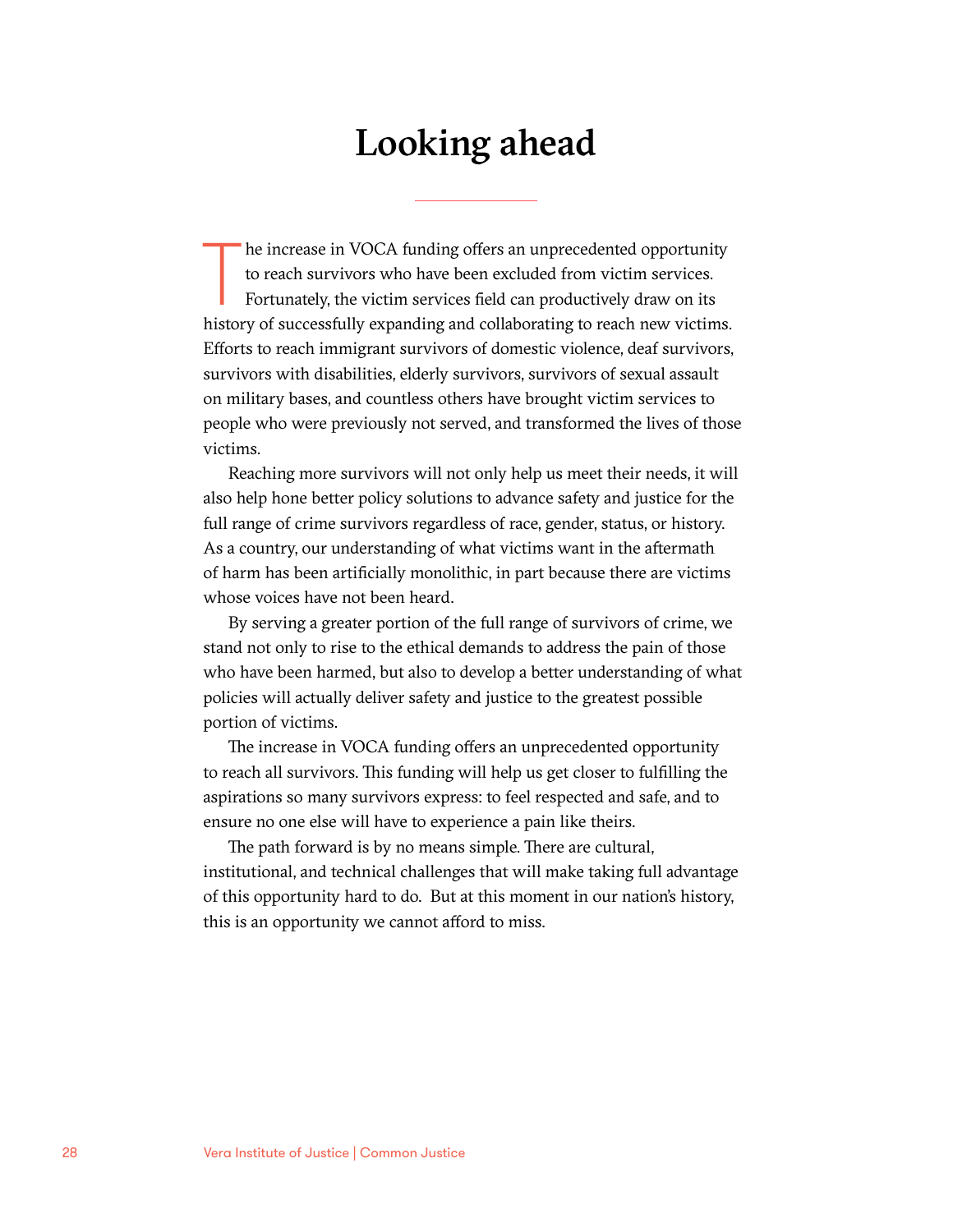## Looking ahead

The increase in VOCA funding offers an unprecedented opportunity<br>to reach survivors who have been excluded from victim services.<br>Fortunately, the victim services field can productively draw on its<br>history of successfully e he increase in VOCA funding offers an unprecedented opportunity to reach survivors who have been excluded from victim services. Fortunately, the victim services field can productively draw on its Efforts to reach immigrant survivors of domestic violence, deaf survivors, survivors with disabilities, elderly survivors, survivors of sexual assault on military bases, and countless others have brought victim services to people who were previously not served, and transformed the lives of those victims.

Reaching more survivors will not only help us meet their needs, it will also help hone better policy solutions to advance safety and justice for the full range of crime survivors regardless of race, gender, status, or history. As a country, our understanding of what victims want in the aftermath of harm has been artificially monolithic, in part because there are victims whose voices have not been heard.

By serving a greater portion of the full range of survivors of crime, we stand not only to rise to the ethical demands to address the pain of those who have been harmed, but also to develop a better understanding of what policies will actually deliver safety and justice to the greatest possible portion of victims.

The increase in VOCA funding offers an unprecedented opportunity to reach all survivors. This funding will help us get closer to fulfilling the aspirations so many survivors express: to feel respected and safe, and to ensure no one else will have to experience a pain like theirs.

The path forward is by no means simple. There are cultural, institutional, and technical challenges that will make taking full advantage of this opportunity hard to do. But at this moment in our nation's history, this is an opportunity we cannot afford to miss.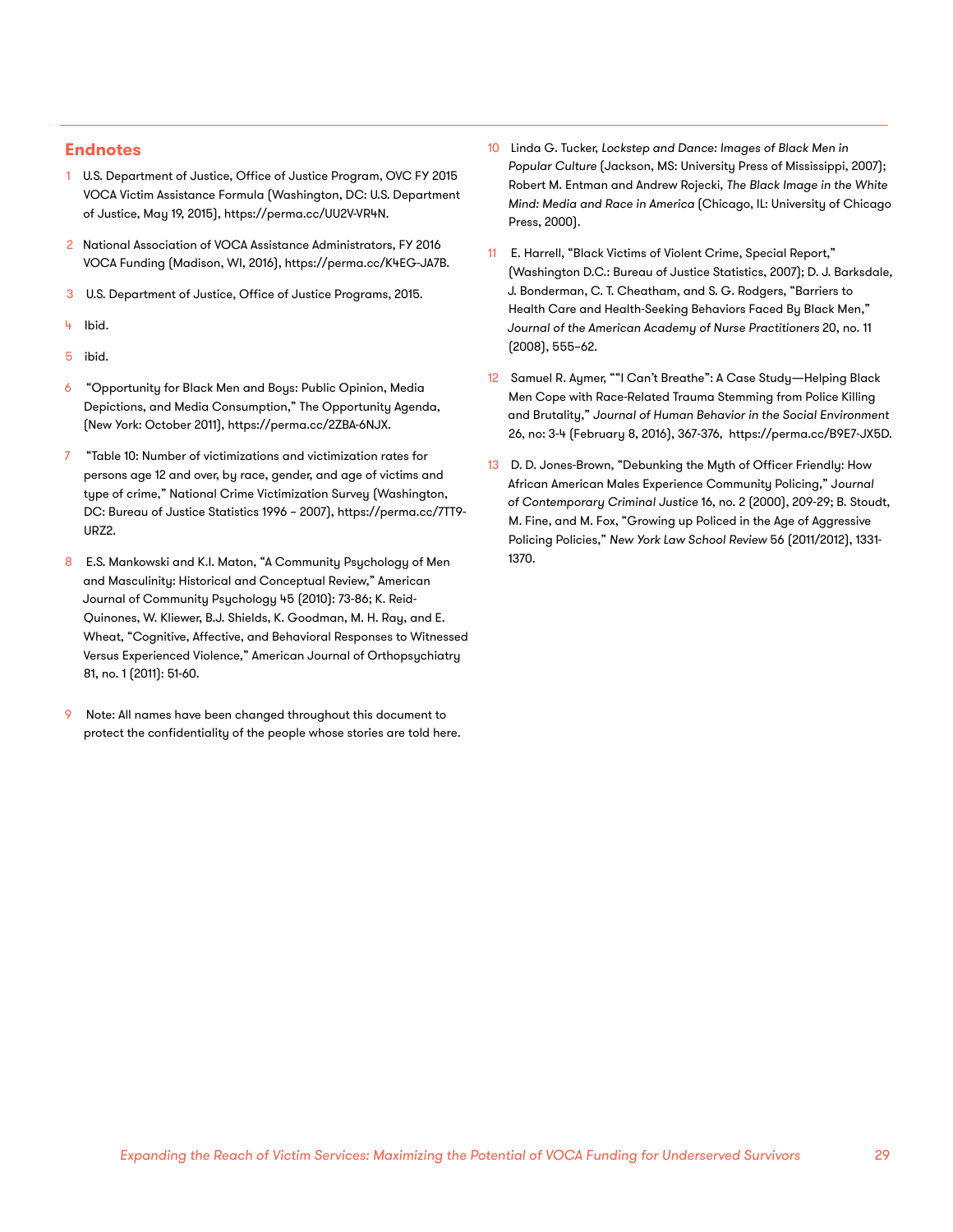#### **Endnotes**

- 1 U.S. Department of Justice, Office of Justice Program, OVC FY 2015 VOCA Victim Assistance Formula (Washington, DC: U.S. Department of Justice, May 19, 2015), https://perma.cc/UU2V-VR4N.
- 2 National Association of VOCA Assistance Administrators, FY 2016 VOCA Funding (Madison, WI, 2016), https://perma.cc/K4EG-JA7B.
- 3 U.S. Department of Justice, Office of Justice Programs, 2015.
- 4 Ibid.
- 5 ibid.
- 6 "Opportunity for Black Men and Boys: Public Opinion, Media Depictions, and Media Consumption," The Opportunity Agenda, (New York: October 2011), https://perma.cc/2ZBA-6NJX.
- 7 "Table 10: Number of victimizations and victimization rates for persons age 12 and over, by race, gender, and age of victims and type of crime," National Crime Victimization Survey (Washington, DC: Bureau of Justice Statistics 1996 – 2007), https://perma.cc/7TT9- URZ2.
- 8 E.S. Mankowski and K.I. Maton, "A Community Psychology of Men and Masculinity: Historical and Conceptual Review," American Journal of Community Psychology 45 (2010): 73-86; K. Reid-Quinones, W. Kliewer, B.J. Shields, K. Goodman, M. H. Ray, and E. Wheat, "Cognitive, Affective, and Behavioral Responses to Witnessed Versus Experienced Violence," American Journal of Orthopsychiatry 81, no. 1 (2011): 51-60.
- Note: All names have been changed throughout this document to protect the confidentiality of the people whose stories are told here.
- Linda G. Tucker, Lockstep and Dance: Images of Black Men in *Popular Culture* (Jackson, MS: University Press of Mississippi, 2007); Robert M. Entman and Andrew Rojecki, *The Black Image in the White Mind: Media and Race in America* (Chicago, IL: University of Chicago Press, 2000).
- 11 E. Harrell, "Black Victims of Violent Crime, Special Report," (Washington D.C.: Bureau of Justice Statistics, 2007); D. J. Barksdale, J. Bonderman, C. T. Cheatham, and S. G. Rodgers, "Barriers to Health Care and Health-Seeking Behaviors Faced By Black Men," *Journal of the American Academy of Nurse Practitioners* 20, no. 11 (2008), 555–62.
- 12 Samuel R. Aymer, ""I Can't Breathe": A Case Study—Helping Black Men Cope with Race-Related Trauma Stemming from Police Killing and Brutality," *Journal of Human Behavior in the Social Environment* 26, no: 3-4 (February 8, 2016), 367-376, https://perma.cc/B9E7-JX5D.
- 13 D. D. Jones-Brown, "Debunking the Myth of Officer Friendly: How African American Males Experience Community Policing," J*ournal of Contemporary Criminal Justice* 16, no. 2 (2000), 209-29; B. Stoudt, M. Fine, and M. Fox, "Growing up Policed in the Age of Aggressive Policing Policies," *New York Law School Review* 56 (2011/2012), 1331- 1370.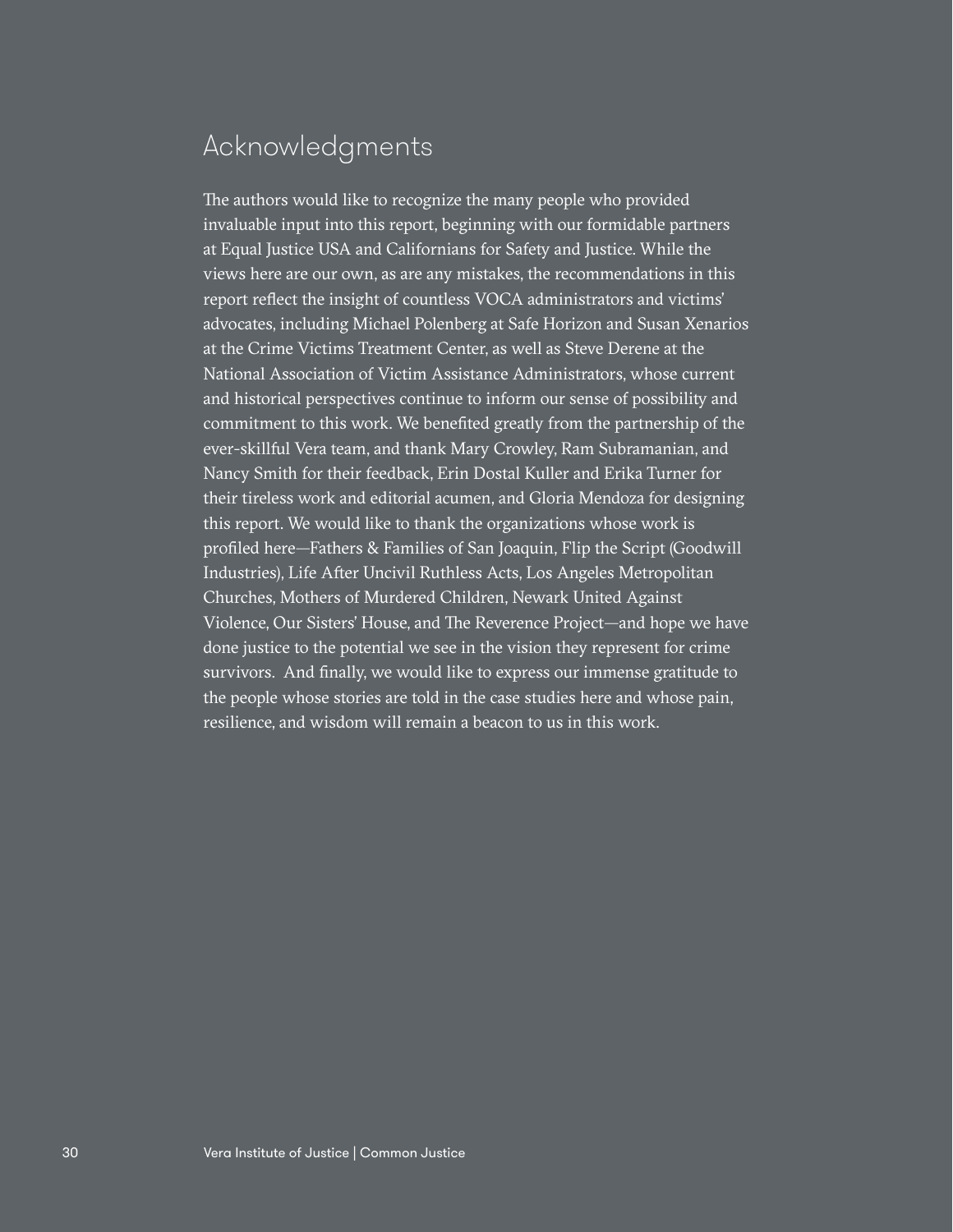### Acknowledgments

The authors would like to recognize the many people who provided invaluable input into this report, beginning with our formidable partners at Equal Justice USA and Californians for Safety and Justice. While the views here are our own, as are any mistakes, the recommendations in this report reflect the insight of countless VOCA administrators and victims' advocates, including Michael Polenberg at Safe Horizon and Susan Xenarios at the Crime Victims Treatment Center, as well as Steve Derene at the National Association of Victim Assistance Administrators, whose current and historical perspectives continue to inform our sense of possibility and commitment to this work. We benefited greatly from the partnership of the ever-skillful Vera team, and thank Mary Crowley, Ram Subramanian, and Nancy Smith for their feedback, Erin Dostal Kuller and Erika Turner for their tireless work and editorial acumen, and Gloria Mendoza for designing this report. We would like to thank the organizations whose work is profiled here—Fathers & Families of San Joaquin, Flip the Script (Goodwill Industries), Life After Uncivil Ruthless Acts, Los Angeles Metropolitan Churches, Mothers of Murdered Children, Newark United Against Violence, Our Sisters' House, and The Reverence Project—and hope we have done justice to the potential we see in the vision they represent for crime survivors. And finally, we would like to express our immense gratitude to the people whose stories are told in the case studies here and whose pain, resilience, and wisdom will remain a beacon to us in this work.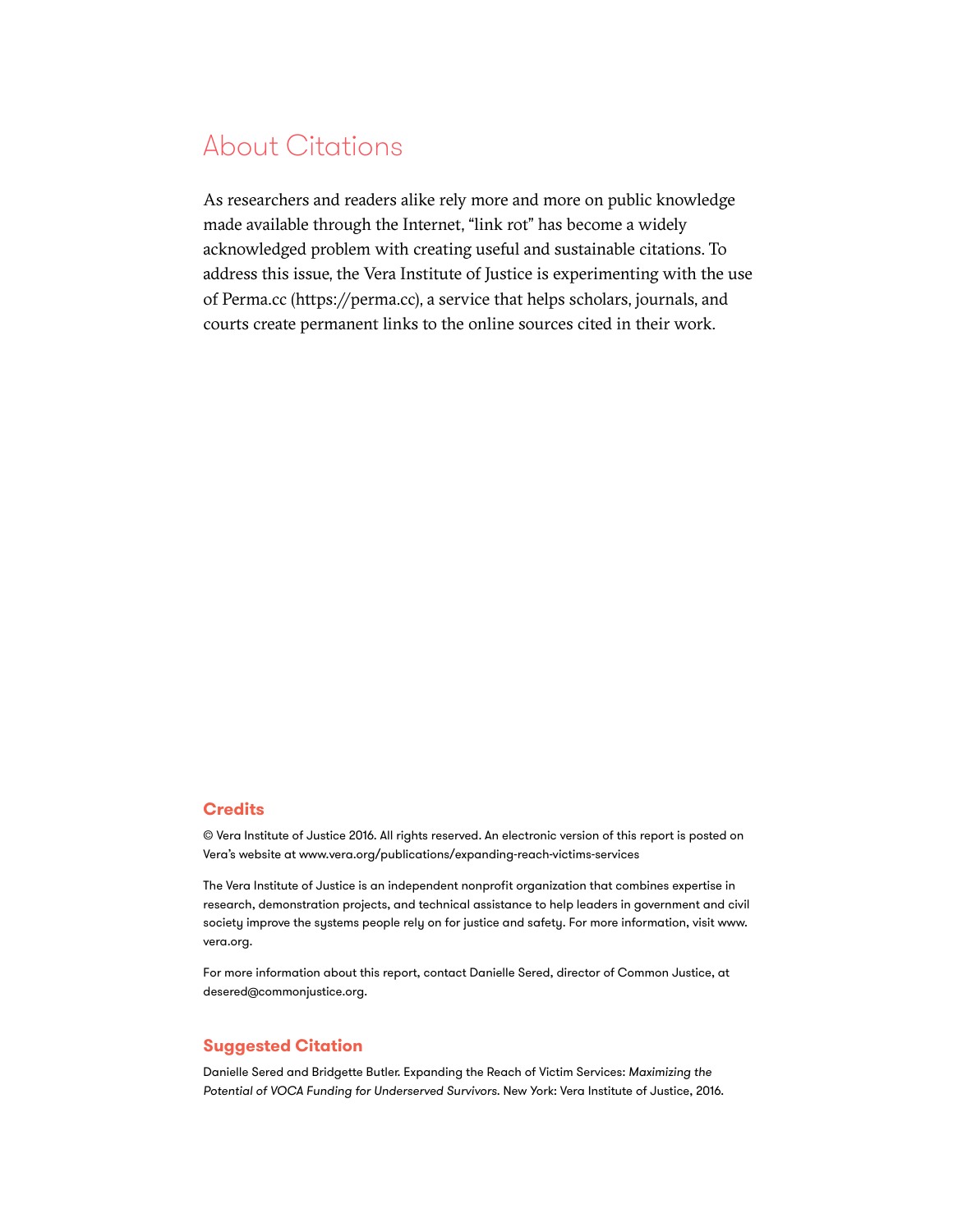### About Citations

As researchers and readers alike rely more and more on public knowledge made available through the Internet, "link rot" has become a widely acknowledged problem with creating useful and sustainable citations. To address this issue, the Vera Institute of Justice is experimenting with the use of Perma.cc (https://perma.cc), a service that helps scholars, journals, and courts create permanent links to the online sources cited in their work.

#### **Credits**

© Vera Institute of Justice 2016. All rights reserved. An electronic version of this report is posted on Vera's website at www.vera.org/publications/expanding-reach-victims-services

The Vera Institute of Justice is an independent nonprofit organization that combines expertise in research, demonstration projects, and technical assistance to help leaders in government and civil society improve the systems people rely on for justice and safety. For more information, visit [www.](http://www.vera.org) [vera.org](http://www.vera.org).

For more information about this report, contact Danielle Sered, director of Common Justice, at [desered@commonjustice.org](mailto:desered@commonjustice.org).

#### **Suggested Citation**

Danielle Sered and Bridgette Butler. Expanding the Reach of Victim Services: *Maximizing the Potential of VOCA Funding for Underserved Survivors*. New York: Vera Institute of Justice, 2016.